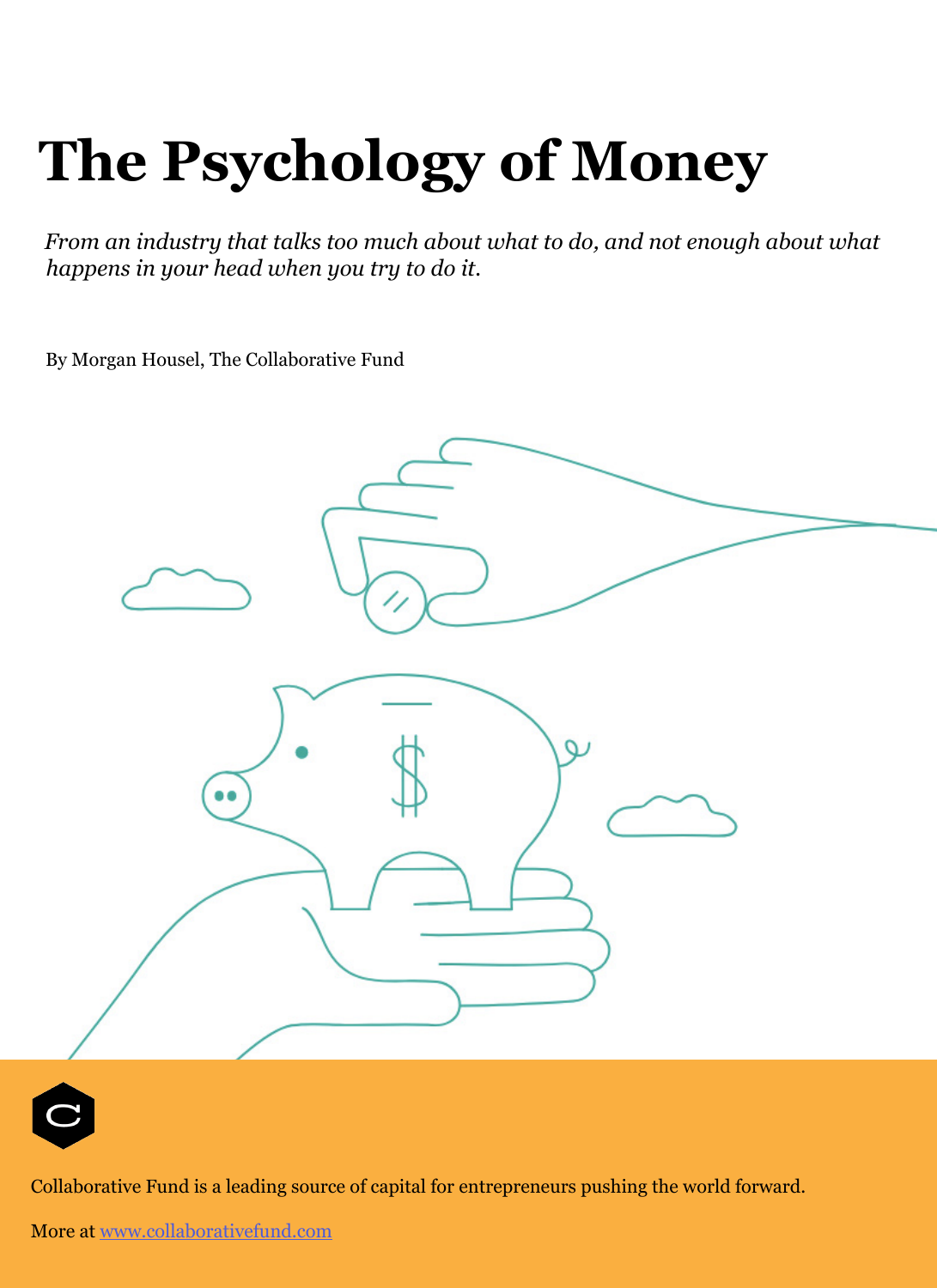# **The Psychology of Money**

 *From an industry that talks too much about what to do, and not enough about what happens in your head when you try to do it.*

By Morgan Housel, The Collaborative Fund



Collaborative Fund is a leading source of capital for entrepreneurs pushing the world forward.

More at [www.collaborativefund.com](http://www.collaborativefund.com)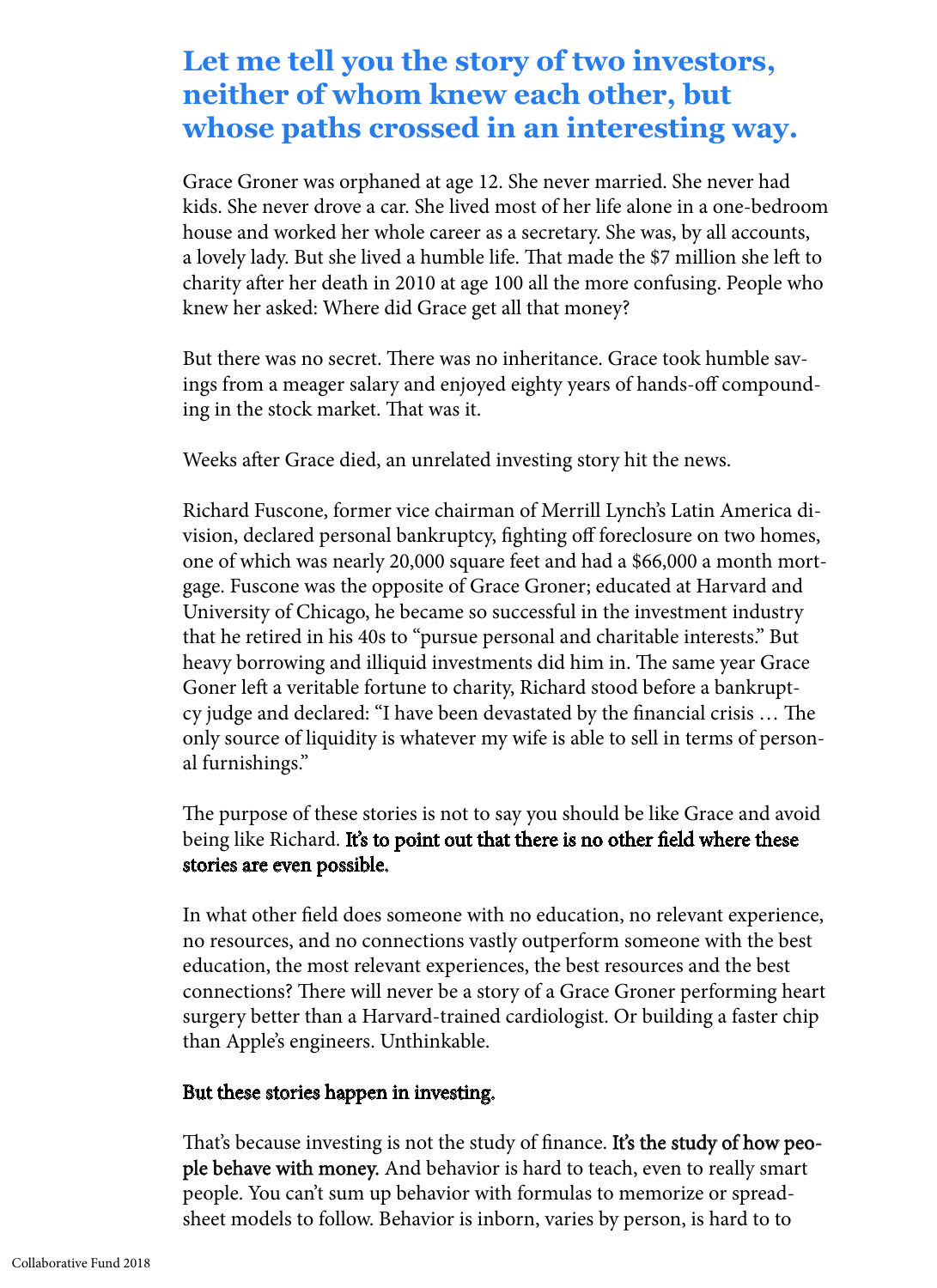#### **Let me tell you the story of two investors, neither of whom knew each other, but whose paths crossed in an interesting way.**

Grace Groner was orphaned at age 12. She never married. She never had kids. She never drove a car. She lived most of her life alone in a one-bedroom house and worked her whole career as a secretary. She was, by all accounts, a lovely lady. But she lived a humble life. That made the \$7 million she left to charity after her death in 2010 at age 100 all the more confusing. People who knew her asked: Where did Grace get all that money?

But there was no secret. There was no inheritance. Grace took humble savings from a meager salary and enjoyed eighty years of hands-off compounding in the stock market. That was it.

Weeks after Grace died, an unrelated investing story hit the news.

Richard Fuscone, former vice chairman of Merrill Lynch's Latin America division, declared personal bankruptcy, fighting off foreclosure on two homes, one of which was nearly 20,000 square feet and had a \$66,000 a month mortgage. Fuscone was the opposite of Grace Groner; educated at Harvard and University of Chicago, he became so successful in the investment industry that he retired in his 40s to "pursue personal and charitable interests." But heavy borrowing and illiquid investments did him in. The same year Grace Goner left a veritable fortune to charity, Richard stood before a bankruptcy judge and declared: "I have been devastated by the financial crisis … The only source of liquidity is whatever my wife is able to sell in terms of personal furnishings."

The purpose of these stories is not to say you should be like Grace and avoid being like Richard. It's to point out that there is no other field where these stories are even possible.

In what other field does someone with no education, no relevant experience, no resources, and no connections vastly outperform someone with the best education, the most relevant experiences, the best resources and the best connections? There will never be a story of a Grace Groner performing heart surgery better than a Harvard-trained cardiologist. Or building a faster chip than Apple's engineers. Unthinkable.

#### But these stories happen in investing.

That's because investing is not the study of finance. It's the study of how people behave with money. And behavior is hard to teach, even to really smart people. You can't sum up behavior with formulas to memorize or spreadsheet models to follow. Behavior is inborn, varies by person, is hard to to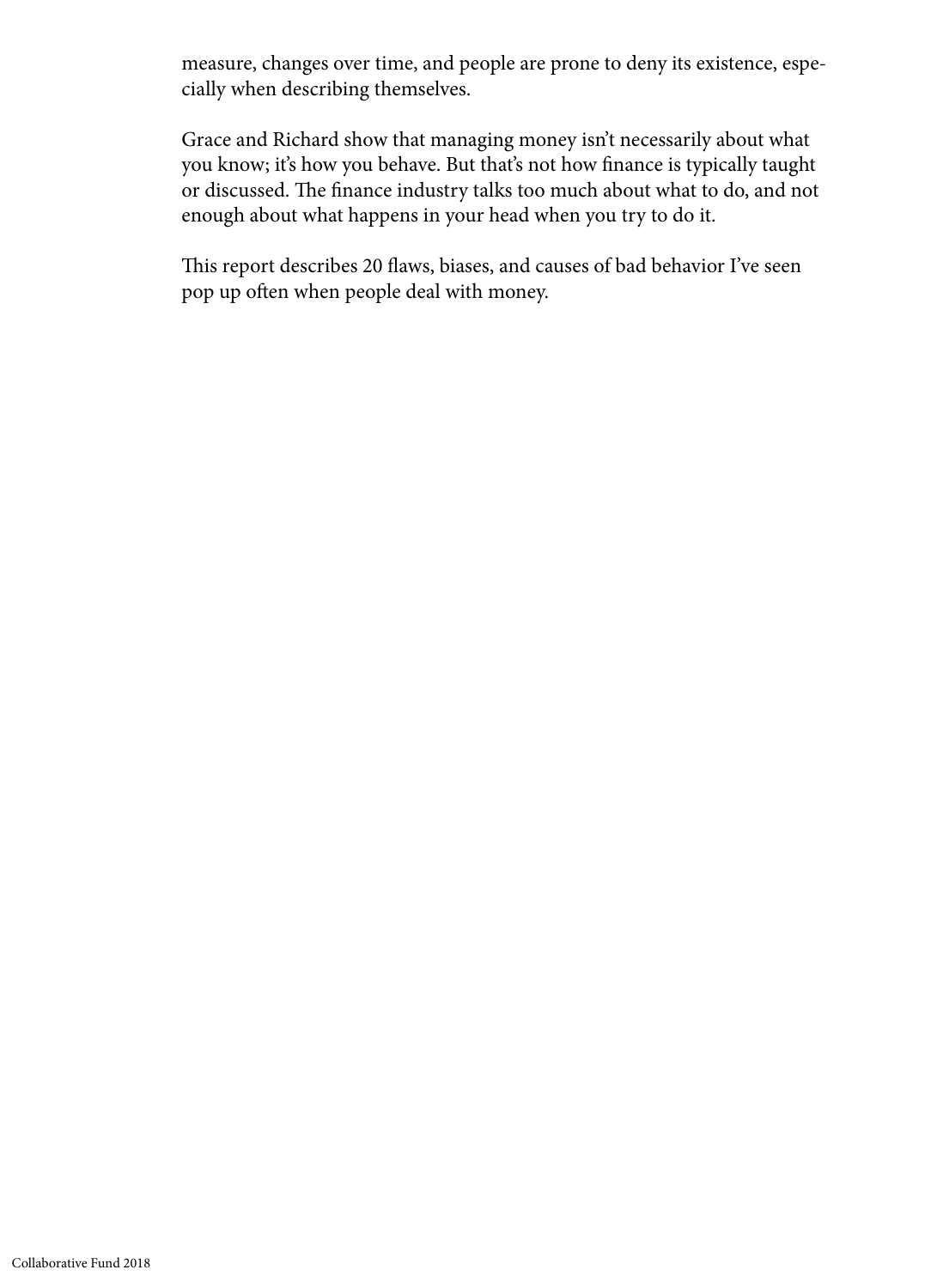measure, changes over time, and people are prone to deny its existence, especially when describing themselves.

Grace and Richard show that managing money isn't necessarily about what you know; it's how you behave. But that's not how finance is typically taught or discussed. The finance industry talks too much about what to do, and not enough about what happens in your head when you try to do it.

This report describes 20 flaws, biases, and causes of bad behavior I've seen pop up often when people deal with money.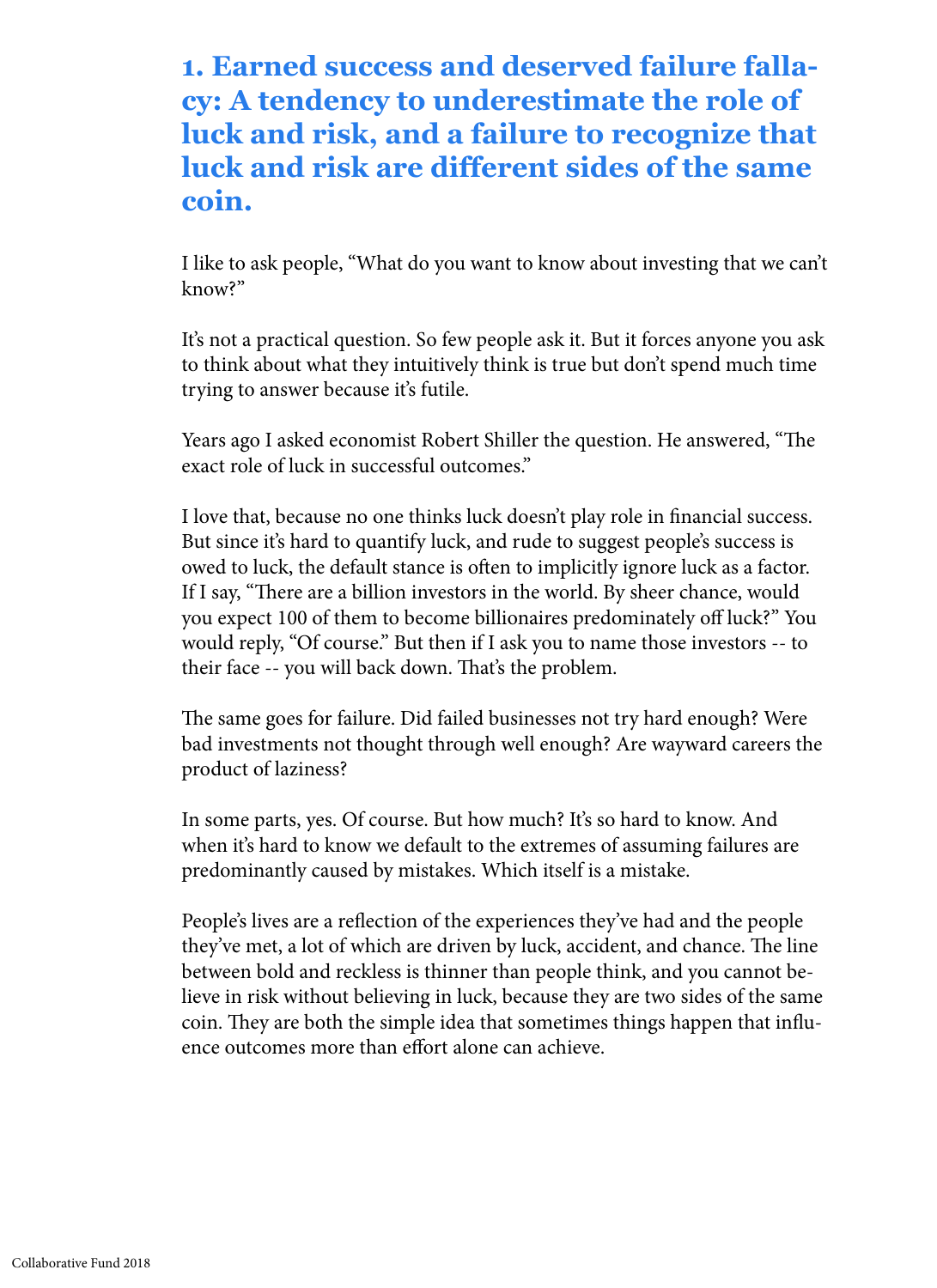#### **1. Earned success and deserved failure fallacy: A tendency to underestimate the role of luck and risk, and a failure to recognize that luck and risk are different sides of the same coin.**

I like to ask people, "What do you want to know about investing that we can't know?"

It's not a practical question. So few people ask it. But it forces anyone you ask to think about what they intuitively think is true but don't spend much time trying to answer because it's futile.

Years ago I asked economist Robert Shiller the question. He answered, "The exact role of luck in successful outcomes."

I love that, because no one thinks luck doesn't play role in financial success. But since it's hard to quantify luck, and rude to suggest people's success is owed to luck, the default stance is often to implicitly ignore luck as a factor. If I say, "There are a billion investors in the world. By sheer chance, would you expect 100 of them to become billionaires predominately off luck?" You would reply, "Of course." But then if I ask you to name those investors -- to their face -- you will back down. That's the problem.

The same goes for failure. Did failed businesses not try hard enough? Were bad investments not thought through well enough? Are wayward careers the product of laziness?

In some parts, yes. Of course. But how much? It's so hard to know. And when it's hard to know we default to the extremes of assuming failures are predominantly caused by mistakes. Which itself is a mistake.

People's lives are a reflection of the experiences they've had and the people they've met, a lot of which are driven by luck, accident, and chance. The line between bold and reckless is thinner than people think, and you cannot believe in risk without believing in luck, because they are two sides of the same coin. They are both the simple idea that sometimes things happen that influence outcomes more than effort alone can achieve.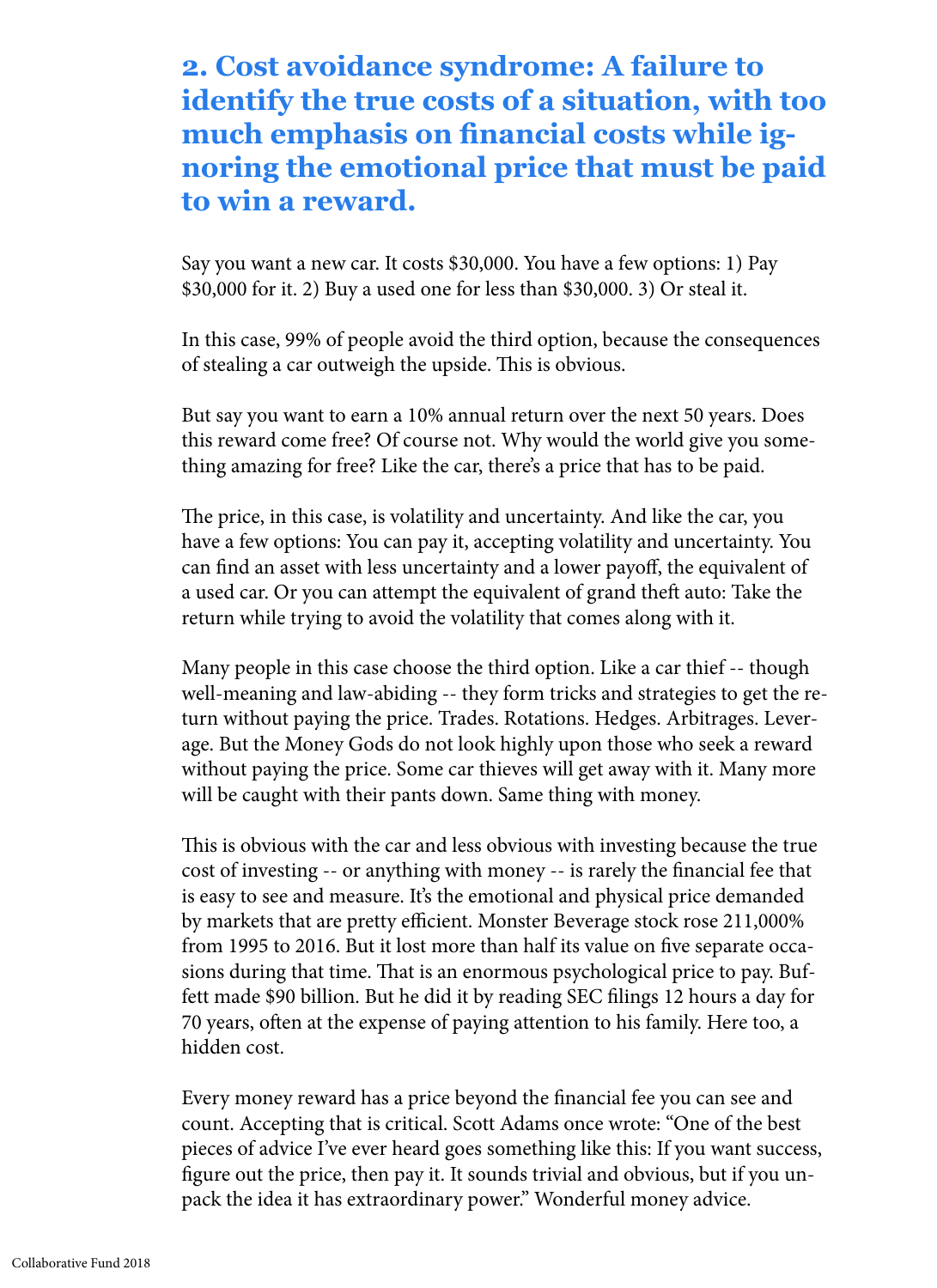#### **2. Cost avoidance syndrome: A failure to identify the true costs of a situation, with too much emphasis on financial costs while ignoring the emotional price that must be paid to win a reward.**

Say you want a new car. It costs \$30,000. You have a few options: 1) Pay \$30,000 for it. 2) Buy a used one for less than \$30,000. 3) Or steal it.

In this case, 99% of people avoid the third option, because the consequences of stealing a car outweigh the upside. This is obvious.

But say you want to earn a 10% annual return over the next 50 years. Does this reward come free? Of course not. Why would the world give you something amazing for free? Like the car, there's a price that has to be paid.

The price, in this case, is volatility and uncertainty. And like the car, you have a few options: You can pay it, accepting volatility and uncertainty. You can find an asset with less uncertainty and a lower payoff, the equivalent of a used car. Or you can attempt the equivalent of grand theft auto: Take the return while trying to avoid the volatility that comes along with it.

Many people in this case choose the third option. Like a car thief -- though well-meaning and law-abiding -- they form tricks and strategies to get the return without paying the price. Trades. Rotations. Hedges. Arbitrages. Leverage. But the Money Gods do not look highly upon those who seek a reward without paying the price. Some car thieves will get away with it. Many more will be caught with their pants down. Same thing with money.

This is obvious with the car and less obvious with investing because the true cost of investing -- or anything with money -- is rarely the financial fee that is easy to see and measure. It's the emotional and physical price demanded by markets that are pretty efficient. Monster Beverage stock rose 211,000% from 1995 to 2016. But it lost more than half its value on five separate occasions during that time. That is an enormous psychological price to pay. Buffett made \$90 billion. But he did it by reading SEC filings 12 hours a day for 70 years, often at the expense of paying attention to his family. Here too, a hidden cost.

Every money reward has a price beyond the financial fee you can see and count. Accepting that is critical. Scott Adams once wrote: "One of the best pieces of advice I've ever heard goes something like this: If you want success, figure out the price, then pay it. It sounds trivial and obvious, but if you unpack the idea it has extraordinary power." Wonderful money advice.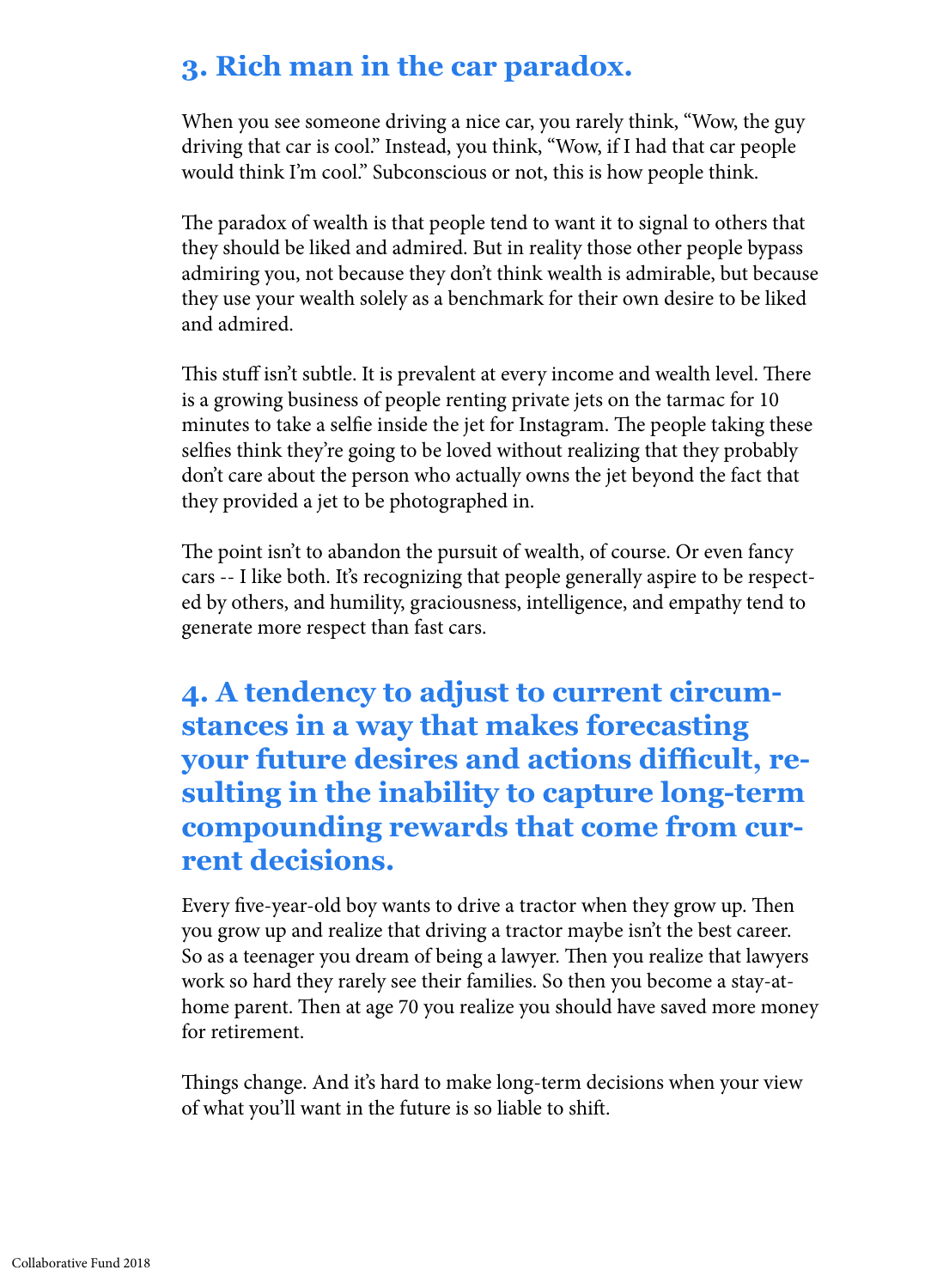## **3. Rich man in the car paradox.**

When you see someone driving a nice car, you rarely think, "Wow, the guy driving that car is cool." Instead, you think, "Wow, if I had that car people would think I'm cool." Subconscious or not, this is how people think.

The paradox of wealth is that people tend to want it to signal to others that they should be liked and admired. But in reality those other people bypass admiring you, not because they don't think wealth is admirable, but because they use your wealth solely as a benchmark for their own desire to be liked and admired.

This stuff isn't subtle. It is prevalent at every income and wealth level. There is a growing business of people renting private jets on the tarmac for 10 minutes to take a selfie inside the jet for Instagram. The people taking these selfies think they're going to be loved without realizing that they probably don't care about the person who actually owns the jet beyond the fact that they provided a jet to be photographed in.

The point isn't to abandon the pursuit of wealth, of course. Or even fancy cars -- I like both. It's recognizing that people generally aspire to be respected by others, and humility, graciousness, intelligence, and empathy tend to generate more respect than fast cars.

### **4. A tendency to adjust to current circumstances in a way that makes forecasting your future desires and actions difficult, resulting in the inability to capture long-term compounding rewards that come from current decisions.**

Every five-year-old boy wants to drive a tractor when they grow up. Then you grow up and realize that driving a tractor maybe isn't the best career. So as a teenager you dream of being a lawyer. Then you realize that lawyers work so hard they rarely see their families. So then you become a stay-athome parent. Then at age 70 you realize you should have saved more money for retirement.

Things change. And it's hard to make long-term decisions when your view of what you'll want in the future is so liable to shift.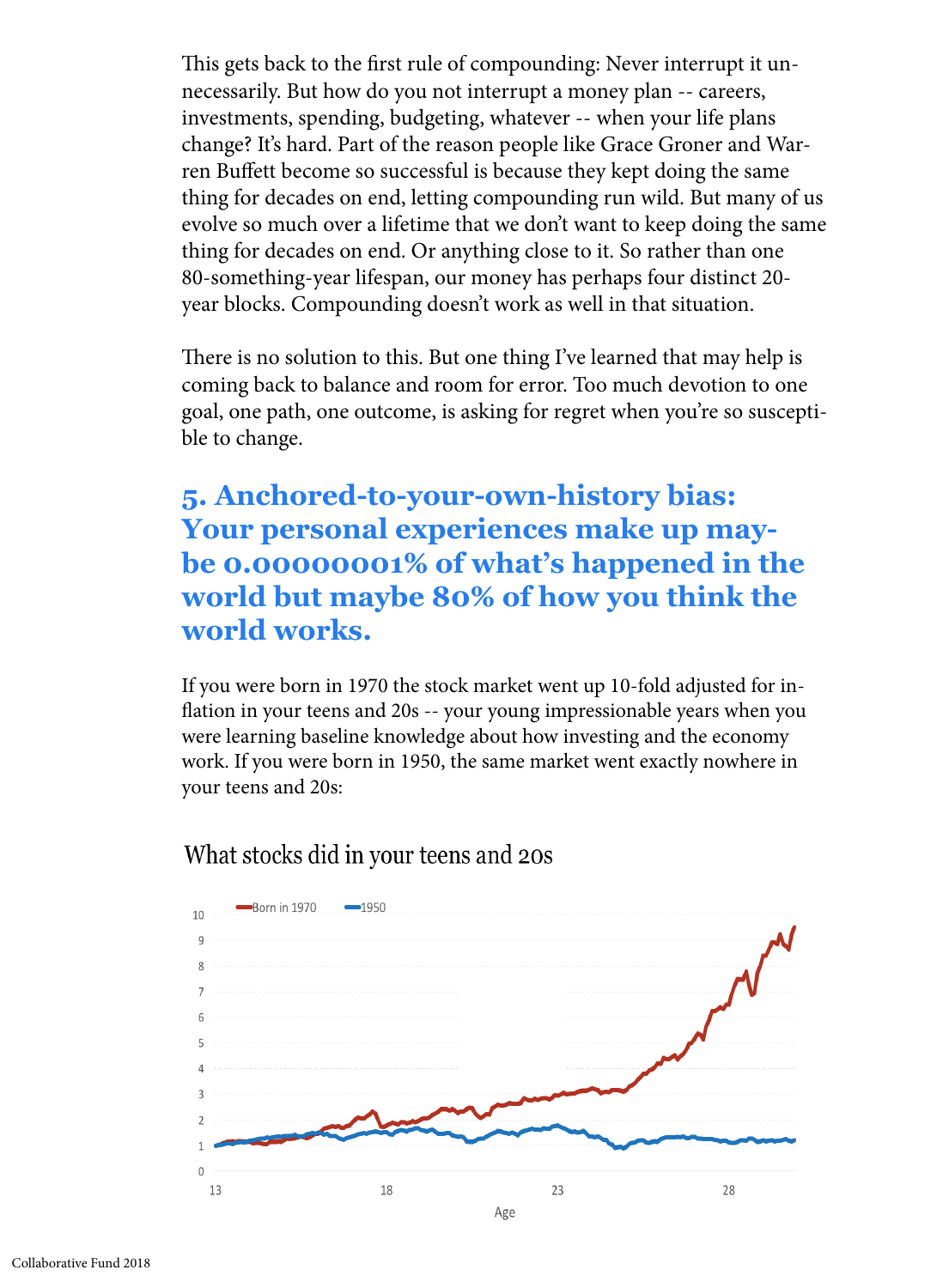This gets back to the first rule of compounding: Never interrupt it unnecessarily. But how do you not interrupt a money plan -- careers, investments, spending, budgeting, whatever -- when your life plans change? It's hard. Part of the reason people like Grace Groner and Warren Buffett become so successful is because they kept doing the same thing for decades on end, letting compounding run wild. But many of us evolve so much over a lifetime that we don't want to keep doing the same thing for decades on end. Or anything close to it. So rather than one 80-something-year lifespan, our money has perhaps four distinct 20 year blocks. Compounding doesn't work as well in that situation.

There is no solution to this. But one thing I've learned that may help is coming back to balance and room for error. Too much devotion to one goal, one path, one outcome, is asking for regret when you're so susceptible to change.

**5. Anchored-to-your-own-history bias: Your personal experiences make up maybe 0.00000001% of what's happened in the world but maybe 80% of how you think the world works.**

If you were born in 1970 the stock market went up 10-fold adjusted for inflation in your teens and 20s -- your young impressionable years when you were learning baseline knowledge about how investing and the economy work. If you were born in 1950, the same market went exactly nowhere in your teens and 20s:



#### What stocks did in your teens and 20s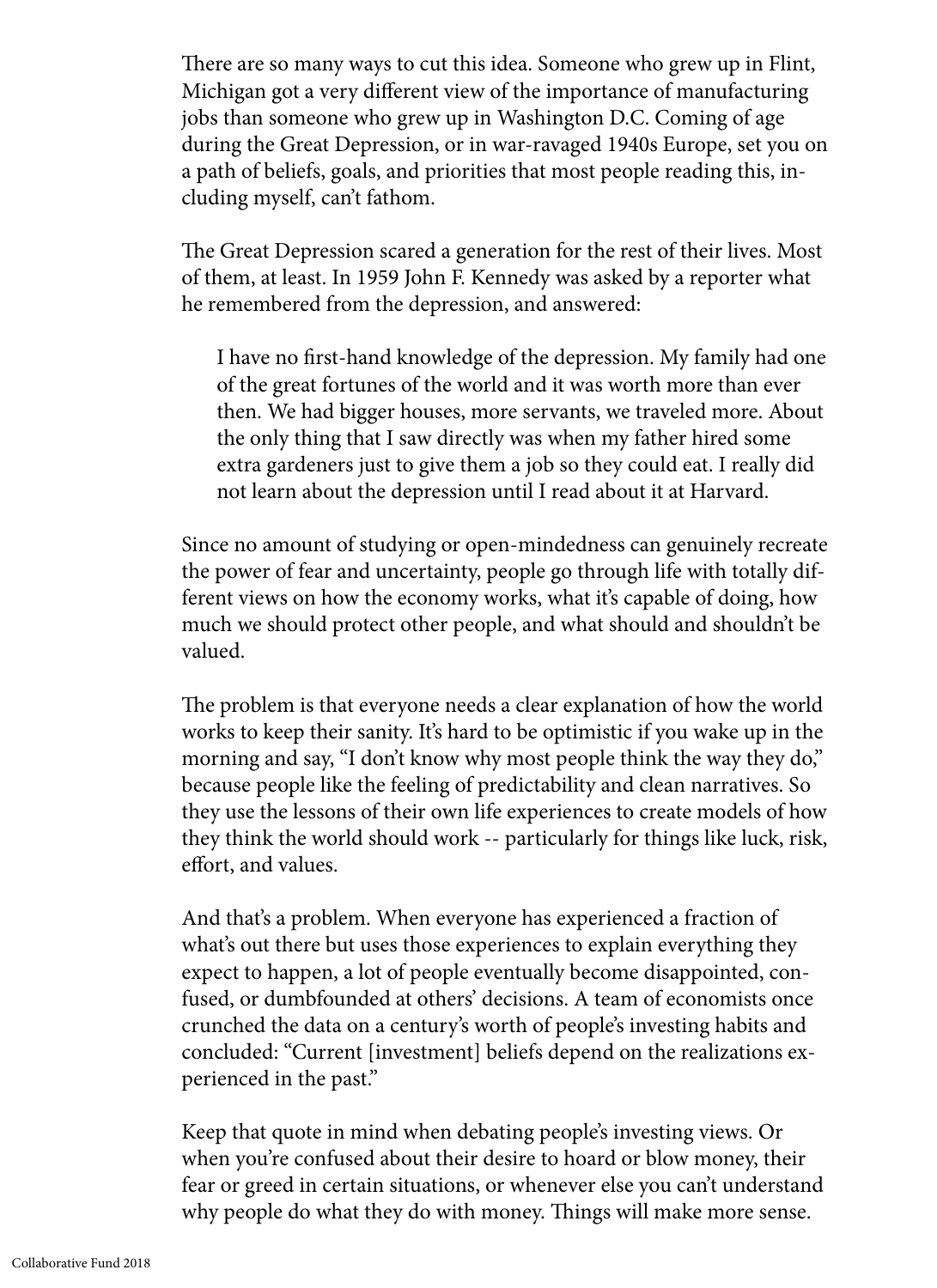There are so many ways to cut this idea. Someone who grew up in Flint, Michigan got a very different view of the importance of manufacturing jobs than someone who grew up in Washington D.C. Coming of age during the Great Depression, or in war-ravaged 1940s Europe, set you on a path of beliefs, goals, and priorities that most people reading this, including myself, can't fathom.

The Great Depression scared a generation for the rest of their lives. Most of them, at least. In 1959 John F. Kennedy was asked by a reporter what he remembered from the depression, and answered:

I have no first-hand knowledge of the depression. My family had one of the great fortunes of the world and it was worth more than ever then. We had bigger houses, more servants, we traveled more. About the only thing that I saw directly was when my father hired some extra gardeners just to give them a job so they could eat. I really did not learn about the depression until I read about it at Harvard.

Since no amount of studying or open-mindedness can genuinely recreate the power of fear and uncertainty, people go through life with totally different views on how the economy works, what it's capable of doing, how much we should protect other people, and what should and shouldn't be valued.

The problem is that everyone needs a clear explanation of how the world works to keep their sanity. It's hard to be optimistic if you wake up in the morning and say, "I don't know why most people think the way they do," because people like the feeling of predictability and clean narratives. So they use the lessons of their own life experiences to create models of how they think the world should work -- particularly for things like luck, risk, effort, and values.

And that's a problem. When everyone has experienced a fraction of what's out there but uses those experiences to explain everything they expect to happen, a lot of people eventually become disappointed, confused, or dumbfounded at others' decisions. A team of economists once crunched the data on a century's worth of people's investing habits and concluded: "Current [investment] beliefs depend on the realizations experienced in the past."

Keep that quote in mind when debating people's investing views. Or when you're confused about their desire to hoard or blow money, their fear or greed in certain situations, or whenever else you can't understand why people do what they do with money. Things will make more sense.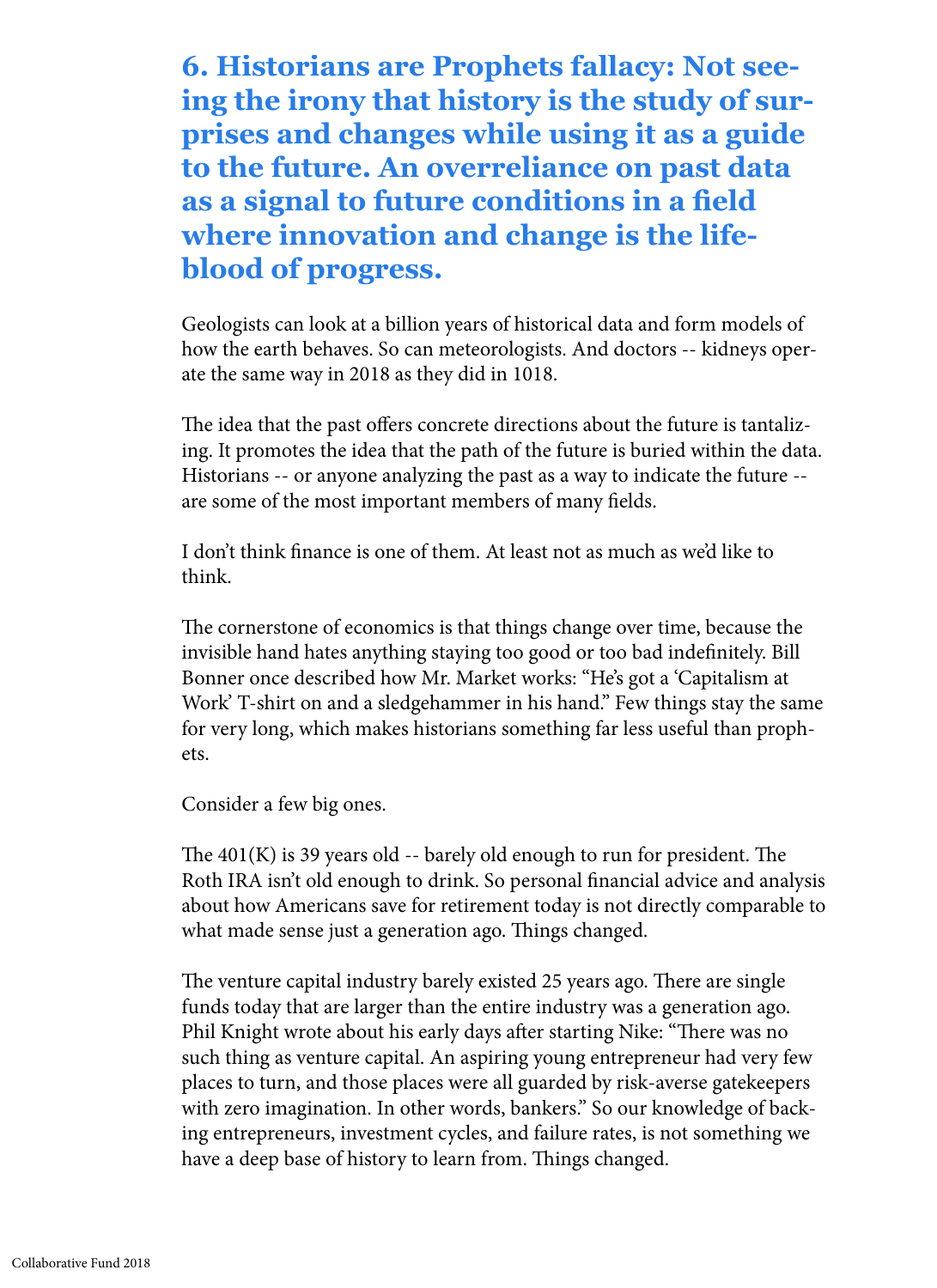**6. Historians are Prophets fallacy: Not seeing the irony that history is the study of surprises and changes while using it as a guide to the future. An overreliance on past data as a signal to future conditions in a field where innovation and change is the lifeblood of progress.**

Geologists can look at a billion years of historical data and form models of how the earth behaves. So can meteorologists. And doctors -- kidneys operate the same way in 2018 as they did in 1018.

The idea that the past offers concrete directions about the future is tantalizing. It promotes the idea that the path of the future is buried within the data. Historians -- or anyone analyzing the past as a way to indicate the future - are some of the most important members of many fields.

I don't think finance is one of them. At least not as much as we'd like to think.

The cornerstone of economics is that things change over time, because the invisible hand hates anything staying too good or too bad indefinitely. Bill Bonner once described how Mr. Market works: "He's got a 'Capitalism at Work' T-shirt on and a sledgehammer in his hand." Few things stay the same for very long, which makes historians something far less useful than prophets.

Consider a few big ones.

The 401(K) is 39 years old -- barely old enough to run for president. The Roth IRA isn't old enough to drink. So personal financial advice and analysis about how Americans save for retirement today is not directly comparable to what made sense just a generation ago. Things changed.

The venture capital industry barely existed 25 years ago. There are single funds today that are larger than the entire industry was a generation ago. Phil Knight wrote about his early days after starting Nike: "There was no such thing as venture capital. An aspiring young entrepreneur had very few places to turn, and those places were all guarded by risk-averse gatekeepers with zero imagination. In other words, bankers." So our knowledge of backing entrepreneurs, investment cycles, and failure rates, is not something we have a deep base of history to learn from. Things changed.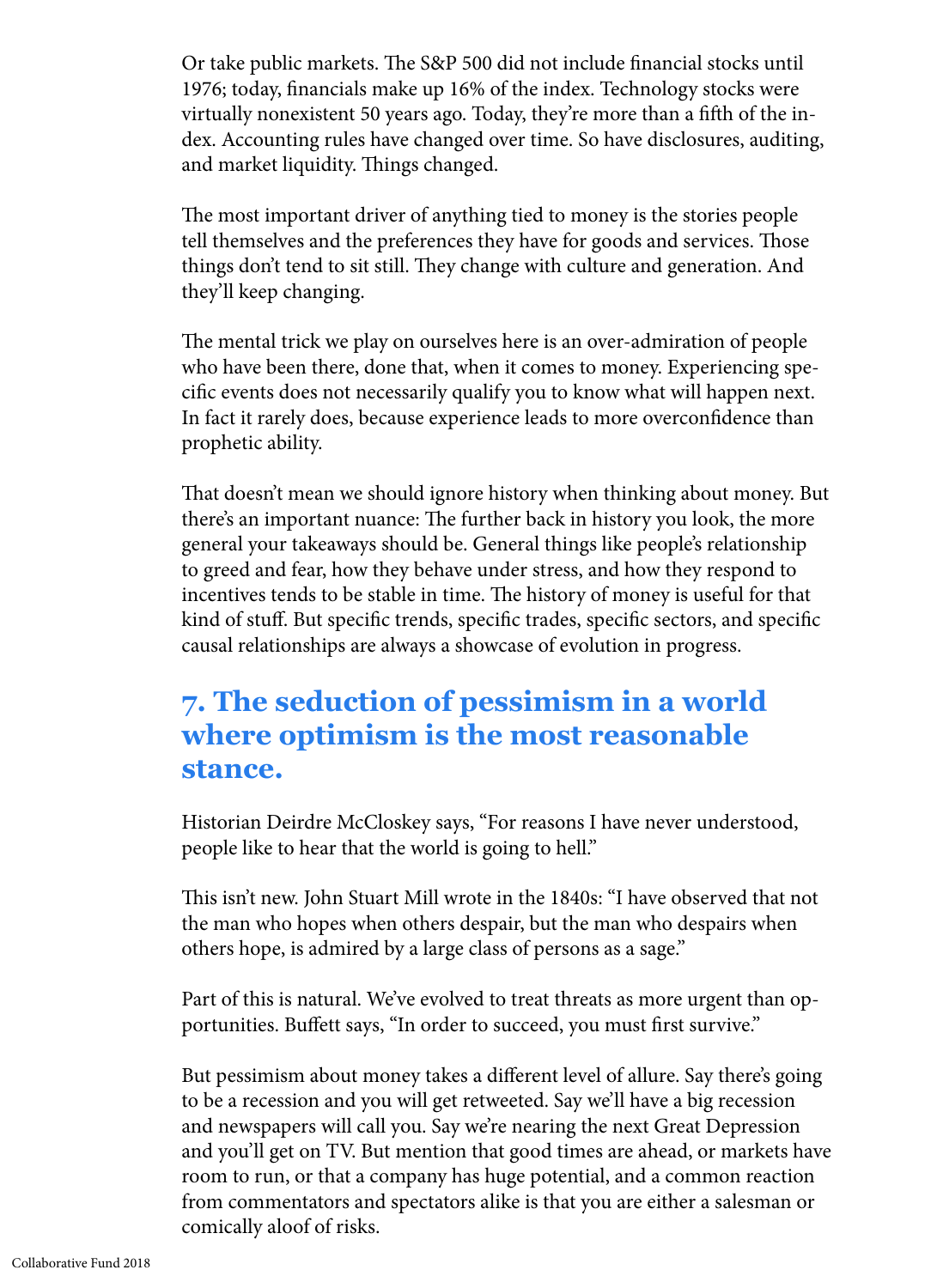Or take public markets. The S&P 500 did not include financial stocks until 1976; today, financials make up 16% of the index. Technology stocks were virtually nonexistent 50 years ago. Today, they're more than a fifth of the index. Accounting rules have changed over time. So have disclosures, auditing, and market liquidity. Things changed.

The most important driver of anything tied to money is the stories people tell themselves and the preferences they have for goods and services. Those things don't tend to sit still. They change with culture and generation. And they'll keep changing.

The mental trick we play on ourselves here is an over-admiration of people who have been there, done that, when it comes to money. Experiencing specific events does not necessarily qualify you to know what will happen next. In fact it rarely does, because experience leads to more overconfidence than prophetic ability.

That doesn't mean we should ignore history when thinking about money. But there's an important nuance: The further back in history you look, the more general your takeaways should be. General things like people's relationship to greed and fear, how they behave under stress, and how they respond to incentives tends to be stable in time. The history of money is useful for that kind of stuff. But specific trends, specific trades, specific sectors, and specific causal relationships are always a showcase of evolution in progress.

#### **7. The seduction of pessimism in a world where optimism is the most reasonable stance.**

Historian Deirdre McCloskey says, "For reasons I have never understood, people like to hear that the world is going to hell."

This isn't new. John Stuart Mill wrote in the 1840s: "I have observed that not the man who hopes when others despair, but the man who despairs when others hope, is admired by a large class of persons as a sage."

Part of this is natural. We've evolved to treat threats as more urgent than opportunities. Buffett says, "In order to succeed, you must first survive."

But pessimism about money takes a different level of allure. Say there's going to be a recession and you will get retweeted. Say we'll have a big recession and newspapers will call you. Say we're nearing the next Great Depression and you'll get on TV. But mention that good times are ahead, or markets have room to run, or that a company has huge potential, and a common reaction from commentators and spectators alike is that you are either a salesman or comically aloof of risks.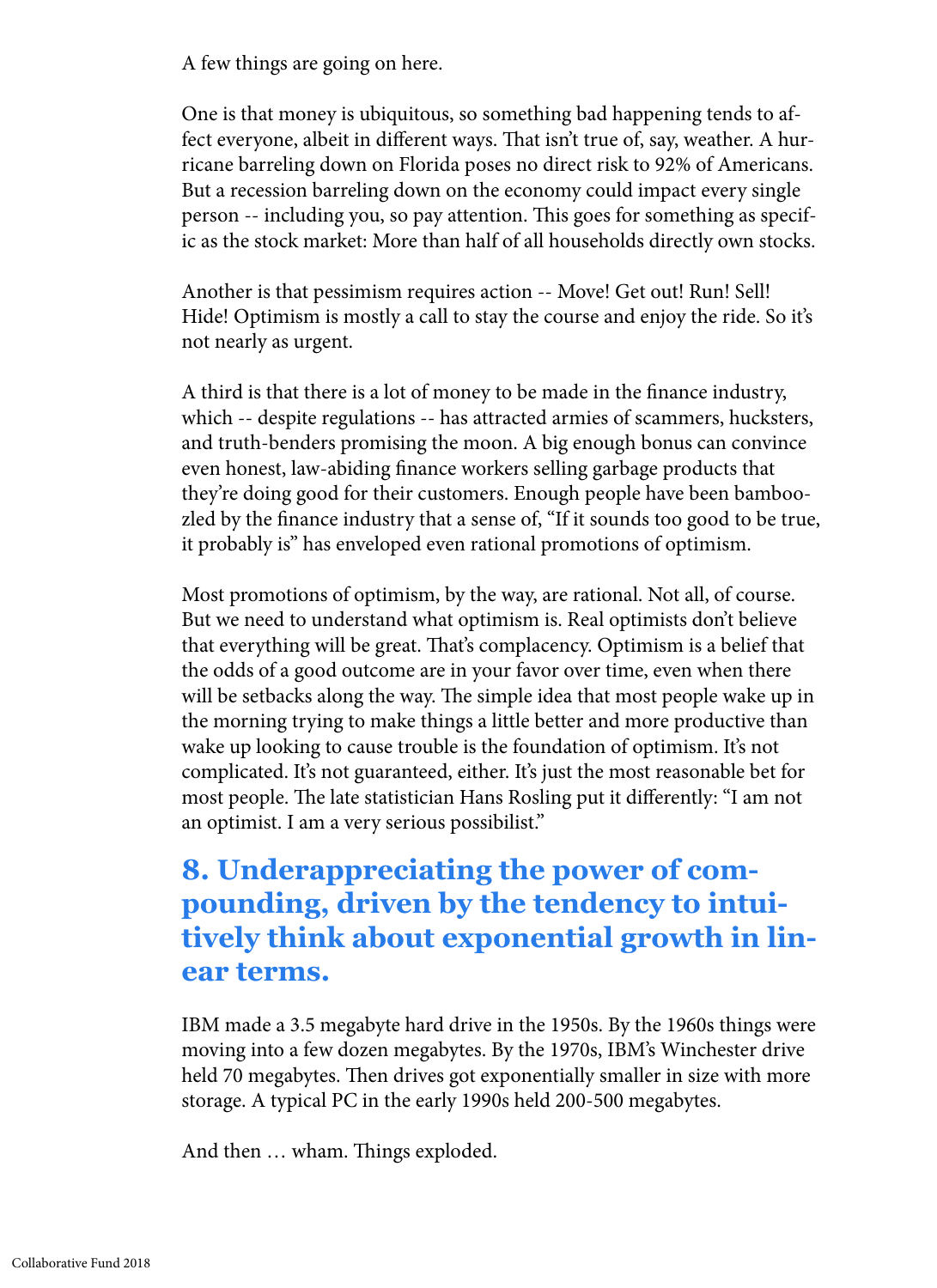A few things are going on here.

One is that money is ubiquitous, so something bad happening tends to affect everyone, albeit in different ways. That isn't true of, say, weather. A hurricane barreling down on Florida poses no direct risk to 92% of Americans. But a recession barreling down on the economy could impact every single person -- including you, so pay attention. This goes for something as specific as the stock market: More than half of all households directly own stocks.

Another is that pessimism requires action -- Move! Get out! Run! Sell! Hide! Optimism is mostly a call to stay the course and enjoy the ride. So it's not nearly as urgent.

A third is that there is a lot of money to be made in the finance industry, which -- despite regulations -- has attracted armies of scammers, hucksters, and truth-benders promising the moon. A big enough bonus can convince even honest, law-abiding finance workers selling garbage products that they're doing good for their customers. Enough people have been bamboozled by the finance industry that a sense of, "If it sounds too good to be true, it probably is" has enveloped even rational promotions of optimism.

Most promotions of optimism, by the way, are rational. Not all, of course. But we need to understand what optimism is. Real optimists don't believe that everything will be great. That's complacency. Optimism is a belief that the odds of a good outcome are in your favor over time, even when there will be setbacks along the way. The simple idea that most people wake up in the morning trying to make things a little better and more productive than wake up looking to cause trouble is the foundation of optimism. It's not complicated. It's not guaranteed, either. It's just the most reasonable bet for most people. The late statistician Hans Rosling put it differently: "I am not an optimist. I am a very serious possibilist."

#### **8. Underappreciating the power of compounding, driven by the tendency to intuitively think about exponential growth in linear terms.**

IBM made a 3.5 megabyte hard drive in the 1950s. By the 1960s things were moving into a few dozen megabytes. By the 1970s, IBM's Winchester drive held 70 megabytes. Then drives got exponentially smaller in size with more storage. A typical PC in the early 1990s held 200-500 megabytes.

And then … wham. Things exploded.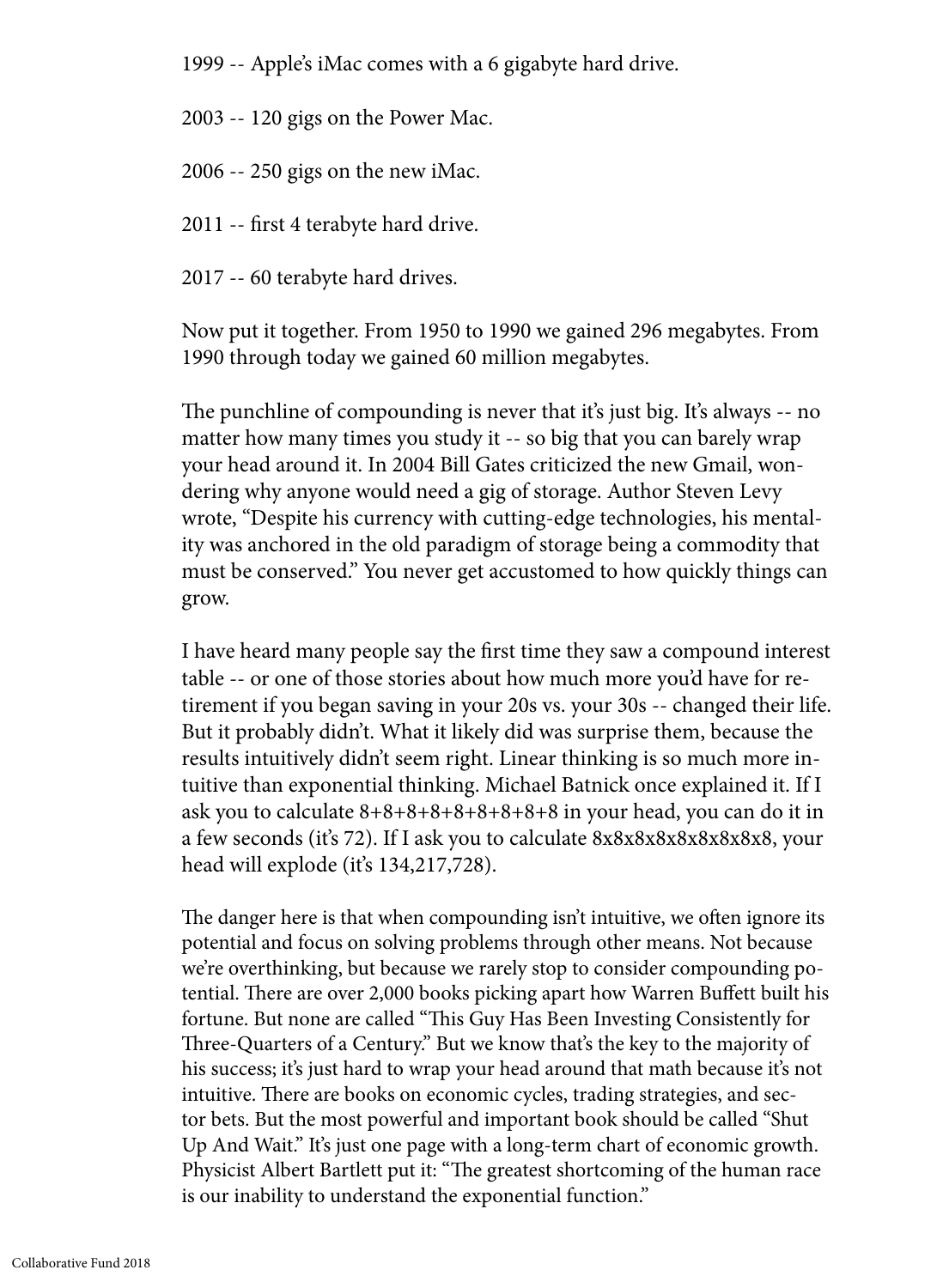1999 -- Apple's iMac comes with a 6 gigabyte hard drive.

2003 -- 120 gigs on the Power Mac.

2006 -- 250 gigs on the new iMac.

2011 -- first 4 terabyte hard drive.

2017 -- 60 terabyte hard drives.

Now put it together. From 1950 to 1990 we gained 296 megabytes. From 1990 through today we gained 60 million megabytes.

The punchline of compounding is never that it's just big. It's always -- no matter how many times you study it -- so big that you can barely wrap your head around it. In 2004 Bill Gates criticized the new Gmail, wondering why anyone would need a gig of storage. Author Steven Levy wrote, "Despite his currency with cutting-edge technologies, his mentality was anchored in the old paradigm of storage being a commodity that must be conserved." You never get accustomed to how quickly things can grow.

I have heard many people say the first time they saw a compound interest table -- or one of those stories about how much more you'd have for retirement if you began saving in your 20s vs. your 30s -- changed their life. But it probably didn't. What it likely did was surprise them, because the results intuitively didn't seem right. Linear thinking is so much more intuitive than exponential thinking. Michael Batnick once explained it. If I ask you to calculate 8+8+8+8+8+8+8+8+8 in your head, you can do it in a few seconds (it's 72). If I ask you to calculate 8x8x8x8x8x8x8x8x8, your head will explode (it's 134,217,728).

The danger here is that when compounding isn't intuitive, we often ignore its potential and focus on solving problems through other means. Not because we're overthinking, but because we rarely stop to consider compounding potential. There are over 2,000 books picking apart how Warren Buffett built his fortune. But none are called "This Guy Has Been Investing Consistently for Three-Quarters of a Century." But we know that's the key to the majority of his success; it's just hard to wrap your head around that math because it's not intuitive. There are books on economic cycles, trading strategies, and sector bets. But the most powerful and important book should be called "Shut Up And Wait." It's just one page with a long-term chart of economic growth. Physicist Albert Bartlett put it: "The greatest shortcoming of the human race is our inability to understand the exponential function."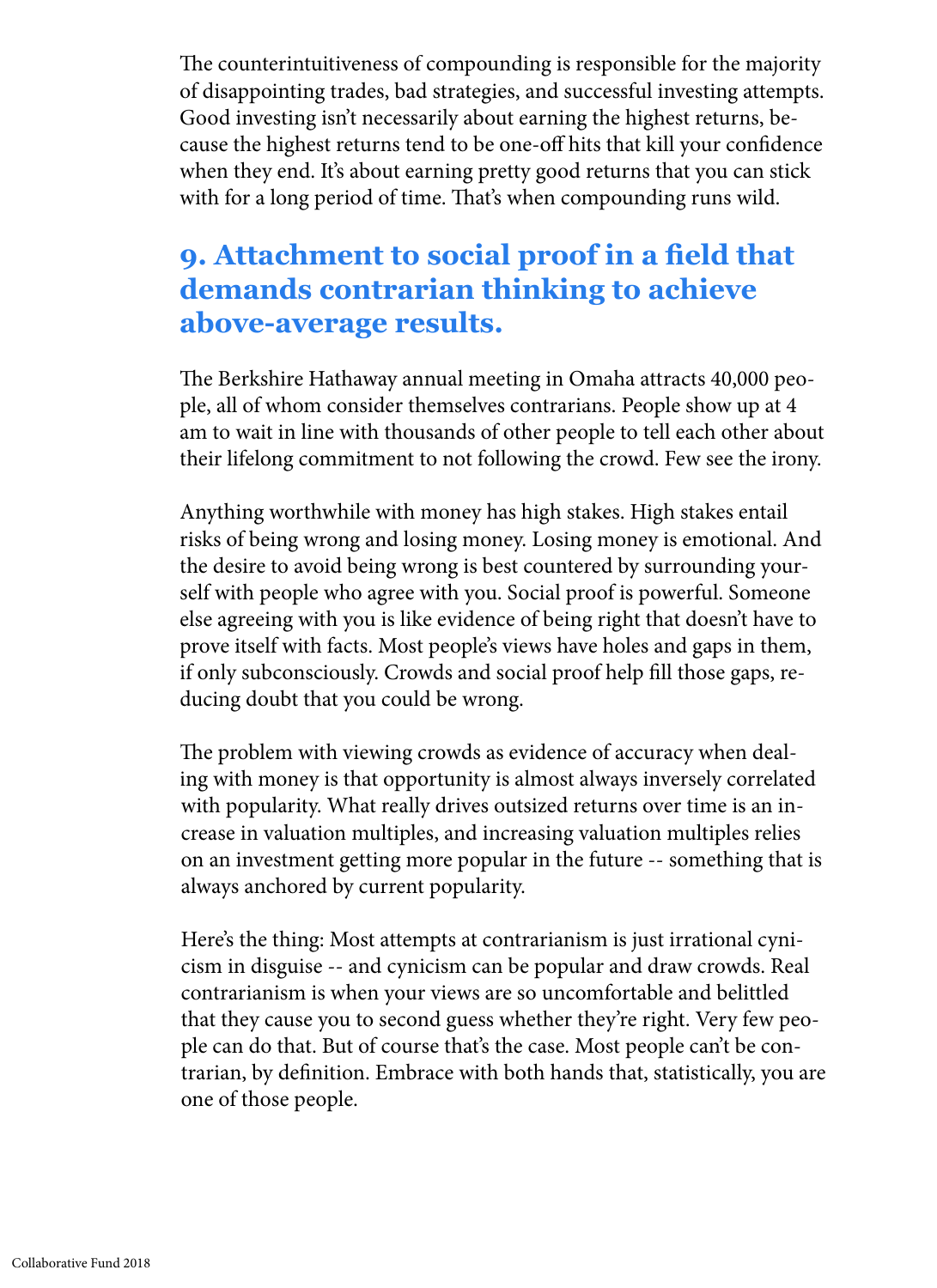The counterintuitiveness of compounding is responsible for the majority of disappointing trades, bad strategies, and successful investing attempts. Good investing isn't necessarily about earning the highest returns, because the highest returns tend to be one-off hits that kill your confidence when they end. It's about earning pretty good returns that you can stick with for a long period of time. That's when compounding runs wild.

### **9. Attachment to social proof in a field that demands contrarian thinking to achieve above-average results.**

The Berkshire Hathaway annual meeting in Omaha attracts 40,000 people, all of whom consider themselves contrarians. People show up at 4 am to wait in line with thousands of other people to tell each other about their lifelong commitment to not following the crowd. Few see the irony.

Anything worthwhile with money has high stakes. High stakes entail risks of being wrong and losing money. Losing money is emotional. And the desire to avoid being wrong is best countered by surrounding yourself with people who agree with you. Social proof is powerful. Someone else agreeing with you is like evidence of being right that doesn't have to prove itself with facts. Most people's views have holes and gaps in them, if only subconsciously. Crowds and social proof help fill those gaps, reducing doubt that you could be wrong.

The problem with viewing crowds as evidence of accuracy when dealing with money is that opportunity is almost always inversely correlated with popularity. What really drives outsized returns over time is an increase in valuation multiples, and increasing valuation multiples relies on an investment getting more popular in the future -- something that is always anchored by current popularity.

Here's the thing: Most attempts at contrarianism is just irrational cynicism in disguise -- and cynicism can be popular and draw crowds. Real contrarianism is when your views are so uncomfortable and belittled that they cause you to second guess whether they're right. Very few people can do that. But of course that's the case. Most people can't be contrarian, by definition. Embrace with both hands that, statistically, you are one of those people.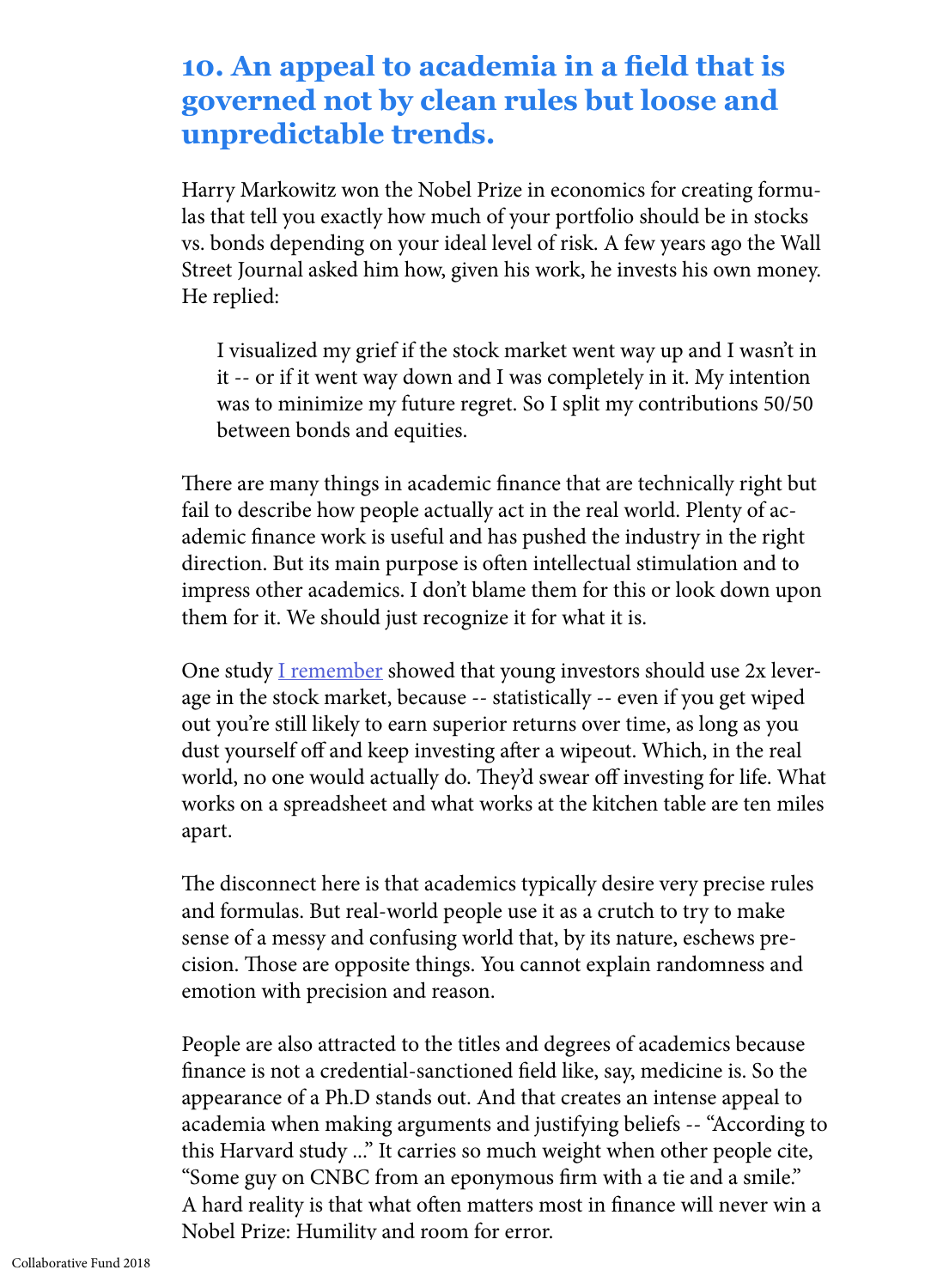#### **10. An appeal to academia in a field that is governed not by clean rules but loose and unpredictable trends.**

Harry Markowitz won the Nobel Prize in economics for creating formulas that tell you exactly how much of your portfolio should be in stocks vs. bonds depending on your ideal level of risk. A few years ago the Wall Street Journal asked him how, given his work, he invests his own money. He replied:

I visualized my grief if the stock market went way up and I wasn't in it -- or if it went way down and I was completely in it. My intention was to minimize my future regret. So I split my contributions 50/50 between bonds and equities.

There are many things in academic finance that are technically right but fail to describe how people actually act in the real world. Plenty of academic finance work is useful and has pushed the industry in the right direction. But its main purpose is often intellectual stimulation and to impress other academics. I don't blame them for this or look down upon them for it. We should just recognize it for what it is.

One study [I remember](http://works.bepress.com/cgi/viewcontent.cgi?article=1019&context=ian_ayres) showed that young investors should use 2x leverage in the stock market, because -- statistically -- even if you get wiped out you're still likely to earn superior returns over time, as long as you dust yourself off and keep investing after a wipeout. Which, in the real world, no one would actually do. They'd swear off investing for life. What works on a spreadsheet and what works at the kitchen table are ten miles apart.

The disconnect here is that academics typically desire very precise rules and formulas. But real-world people use it as a crutch to try to make sense of a messy and confusing world that, by its nature, eschews precision. Those are opposite things. You cannot explain randomness and emotion with precision and reason.

People are also attracted to the titles and degrees of academics because finance is not a credential-sanctioned field like, say, medicine is. So the appearance of a Ph.D stands out. And that creates an intense appeal to academia when making arguments and justifying beliefs -- "According to this Harvard study ..." It carries so much weight when other people cite, "Some guy on CNBC from an eponymous firm with a tie and a smile." A hard reality is that what often matters most in finance will never win a Nobel Prize: Humility and room for error.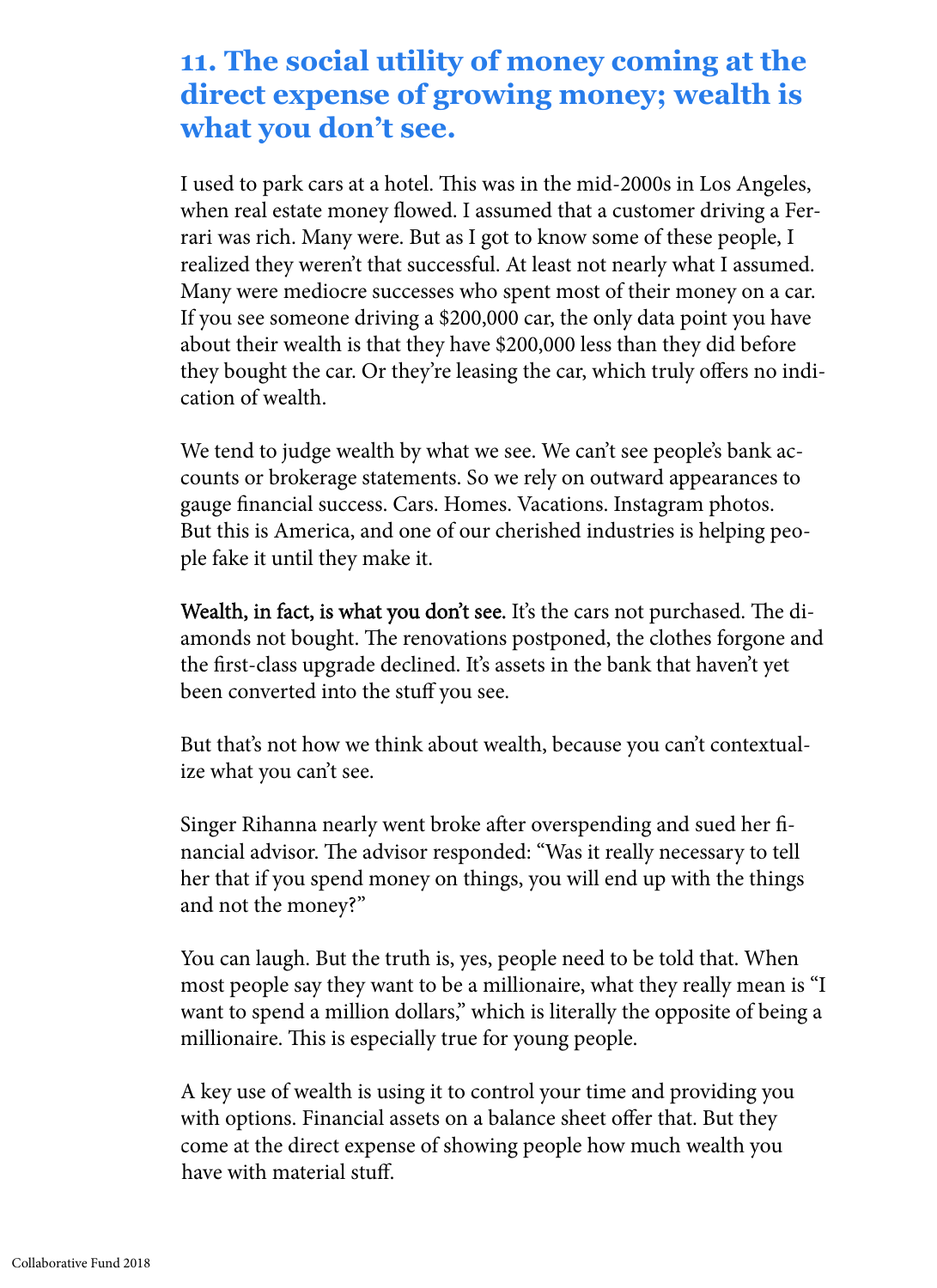#### **11. The social utility of money coming at the direct expense of growing money; wealth is what you don't see.**

I used to park cars at a hotel. This was in the mid-2000s in Los Angeles, when real estate money flowed. I assumed that a customer driving a Ferrari was rich. Many were. But as I got to know some of these people, I realized they weren't that successful. At least not nearly what I assumed. Many were mediocre successes who spent most of their money on a car. If you see someone driving a \$200,000 car, the only data point you have about their wealth is that they have \$200,000 less than they did before they bought the car. Or they're leasing the car, which truly offers no indication of wealth.

We tend to judge wealth by what we see. We can't see people's bank accounts or brokerage statements. So we rely on outward appearances to gauge financial success. Cars. Homes. Vacations. Instagram photos. But this is America, and one of our cherished industries is helping people fake it until they make it.

Wealth, in fact, is what you don't see. It's the cars not purchased. The diamonds not bought. The renovations postponed, the clothes forgone and the first-class upgrade declined. It's assets in the bank that haven't yet been converted into the stuff you see.

But that's not how we think about wealth, because you can't contextualize what you can't see.

Singer Rihanna nearly went broke after overspending and sued her financial advisor. The advisor responded: "Was it really necessary to tell her that if you spend money on things, you will end up with the things and not the money?"

You can laugh. But the truth is, yes, people need to be told that. When most people say they want to be a millionaire, what they really mean is "I want to spend a million dollars," which is literally the opposite of being a millionaire. This is especially true for young people.

A key use of wealth is using it to control your time and providing you with options. Financial assets on a balance sheet offer that. But they come at the direct expense of showing people how much wealth you have with material stuff.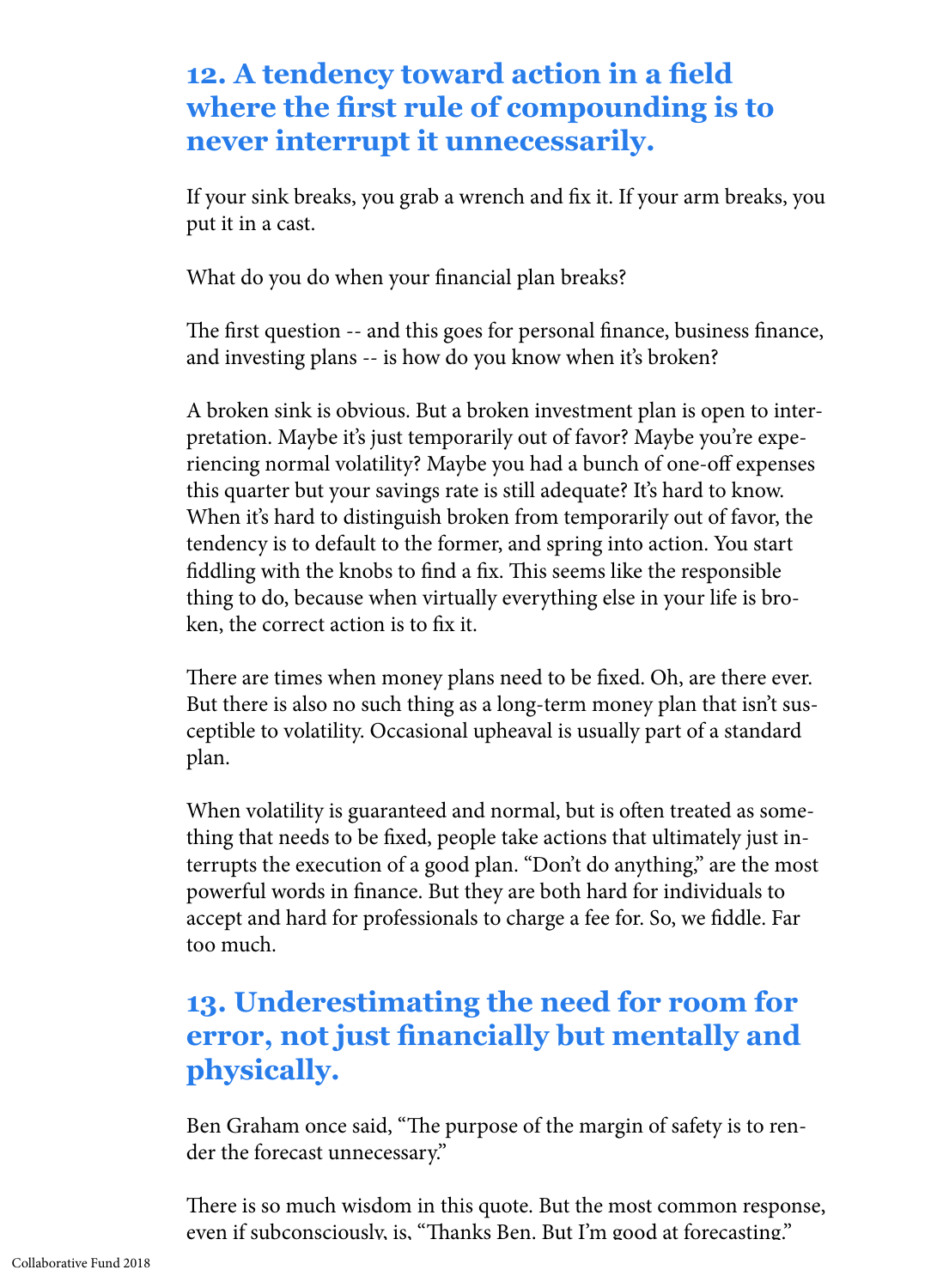#### **12. A tendency toward action in a field where the first rule of compounding is to never interrupt it unnecessarily.**

If your sink breaks, you grab a wrench and fix it. If your arm breaks, you put it in a cast.

What do you do when your financial plan breaks?

The first question -- and this goes for personal finance, business finance, and investing plans -- is how do you know when it's broken?

A broken sink is obvious. But a broken investment plan is open to interpretation. Maybe it's just temporarily out of favor? Maybe you're experiencing normal volatility? Maybe you had a bunch of one-off expenses this quarter but your savings rate is still adequate? It's hard to know. When it's hard to distinguish broken from temporarily out of favor, the tendency is to default to the former, and spring into action. You start fiddling with the knobs to find a fix. This seems like the responsible thing to do, because when virtually everything else in your life is broken, the correct action is to fix it.

There are times when money plans need to be fixed. Oh, are there ever. But there is also no such thing as a long-term money plan that isn't susceptible to volatility. Occasional upheaval is usually part of a standard plan.

When volatility is guaranteed and normal, but is often treated as something that needs to be fixed, people take actions that ultimately just interrupts the execution of a good plan. "Don't do anything," are the most powerful words in finance. But they are both hard for individuals to accept and hard for professionals to charge a fee for. So, we fiddle. Far too much.

#### **13. Underestimating the need for room for error, not just financially but mentally and physically.**

Ben Graham once said, "The purpose of the margin of safety is to render the forecast unnecessary."

There is so much wisdom in this quote. But the most common response, even if subconsciously, is, "Thanks Ben. But I'm good at forecasting."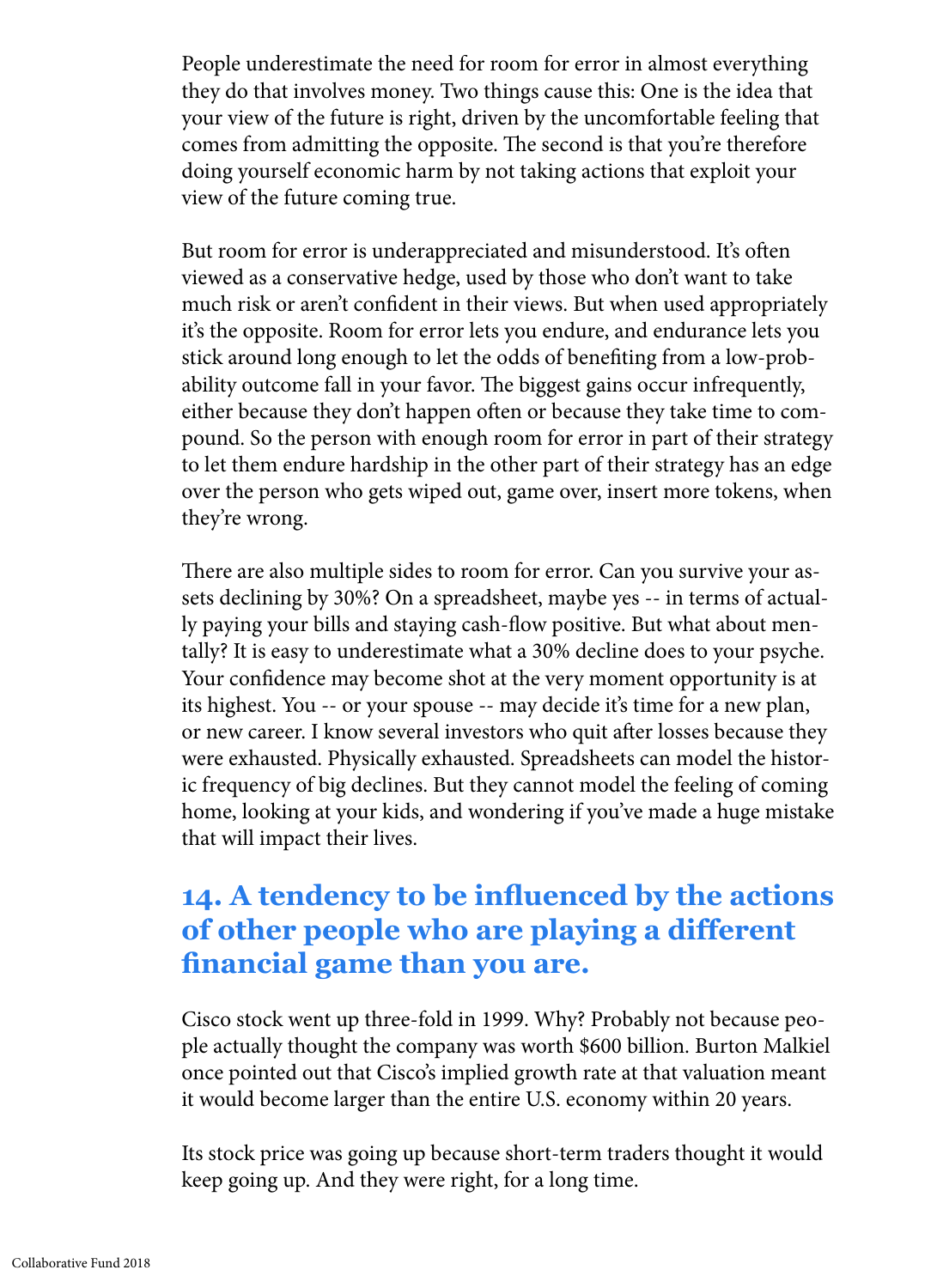People underestimate the need for room for error in almost everything they do that involves money. Two things cause this: One is the idea that your view of the future is right, driven by the uncomfortable feeling that comes from admitting the opposite. The second is that you're therefore doing yourself economic harm by not taking actions that exploit your view of the future coming true.

But room for error is underappreciated and misunderstood. It's often viewed as a conservative hedge, used by those who don't want to take much risk or aren't confident in their views. But when used appropriately it's the opposite. Room for error lets you endure, and endurance lets you stick around long enough to let the odds of benefiting from a low-probability outcome fall in your favor. The biggest gains occur infrequently, either because they don't happen often or because they take time to compound. So the person with enough room for error in part of their strategy to let them endure hardship in the other part of their strategy has an edge over the person who gets wiped out, game over, insert more tokens, when they're wrong.

There are also multiple sides to room for error. Can you survive your assets declining by 30%? On a spreadsheet, maybe yes -- in terms of actually paying your bills and staying cash-flow positive. But what about mentally? It is easy to underestimate what a 30% decline does to your psyche. Your confidence may become shot at the very moment opportunity is at its highest. You -- or your spouse -- may decide it's time for a new plan, or new career. I know several investors who quit after losses because they were exhausted. Physically exhausted. Spreadsheets can model the historic frequency of big declines. But they cannot model the feeling of coming home, looking at your kids, and wondering if you've made a huge mistake that will impact their lives.

### **14. A tendency to be influenced by the actions of other people who are playing a different financial game than you are.**

Cisco stock went up three-fold in 1999. Why? Probably not because people actually thought the company was worth \$600 billion. Burton Malkiel once pointed out that Cisco's implied growth rate at that valuation meant it would become larger than the entire U.S. economy within 20 years.

Its stock price was going up because short-term traders thought it would keep going up. And they were right, for a long time.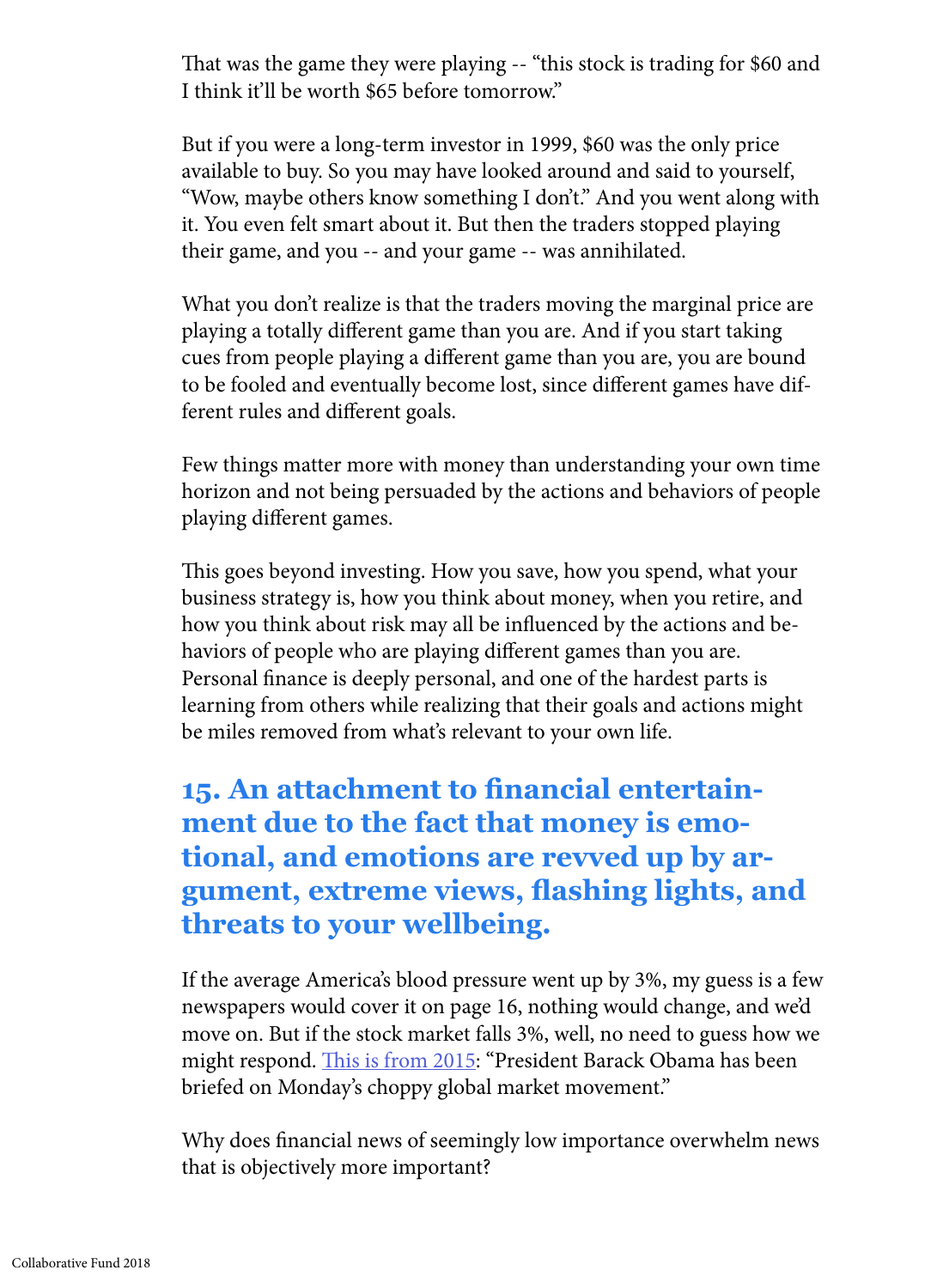That was the game they were playing -- "this stock is trading for \$60 and I think it'll be worth \$65 before tomorrow."

But if you were a long-term investor in 1999, \$60 was the only price available to buy. So you may have looked around and said to yourself, "Wow, maybe others know something I don't." And you went along with it. You even felt smart about it. But then the traders stopped playing their game, and you -- and your game -- was annihilated.

What you don't realize is that the traders moving the marginal price are playing a totally different game than you are. And if you start taking cues from people playing a different game than you are, you are bound to be fooled and eventually become lost, since different games have different rules and different goals.

Few things matter more with money than understanding your own time horizon and not being persuaded by the actions and behaviors of people playing different games.

This goes beyond investing. How you save, how you spend, what your business strategy is, how you think about money, when you retire, and how you think about risk may all be influenced by the actions and behaviors of people who are playing different games than you are. Personal finance is deeply personal, and one of the hardest parts is learning from others while realizing that their goals and actions might be miles removed from what's relevant to your own life.

### **15. An attachment to financial entertainment due to the fact that money is emotional, and emotions are revved up by argument, extreme views, flashing lights, and threats to your wellbeing.**

If the average America's blood pressure went up by 3%, my guess is a few newspapers would cover it on page 16, nothing would change, and we'd move on. But if the stock market falls 3%, well, no need to guess how we might respond. [This is from 2015](https://www.cnbc.com/2015/08/24/white-house-obama-briefed-on-markets-turmoil-mindful-of-potential-self-inflicted-wounds.html): "President Barack Obama has been briefed on Monday's choppy global market movement."

Why does financial news of seemingly low importance overwhelm news that is objectively more important?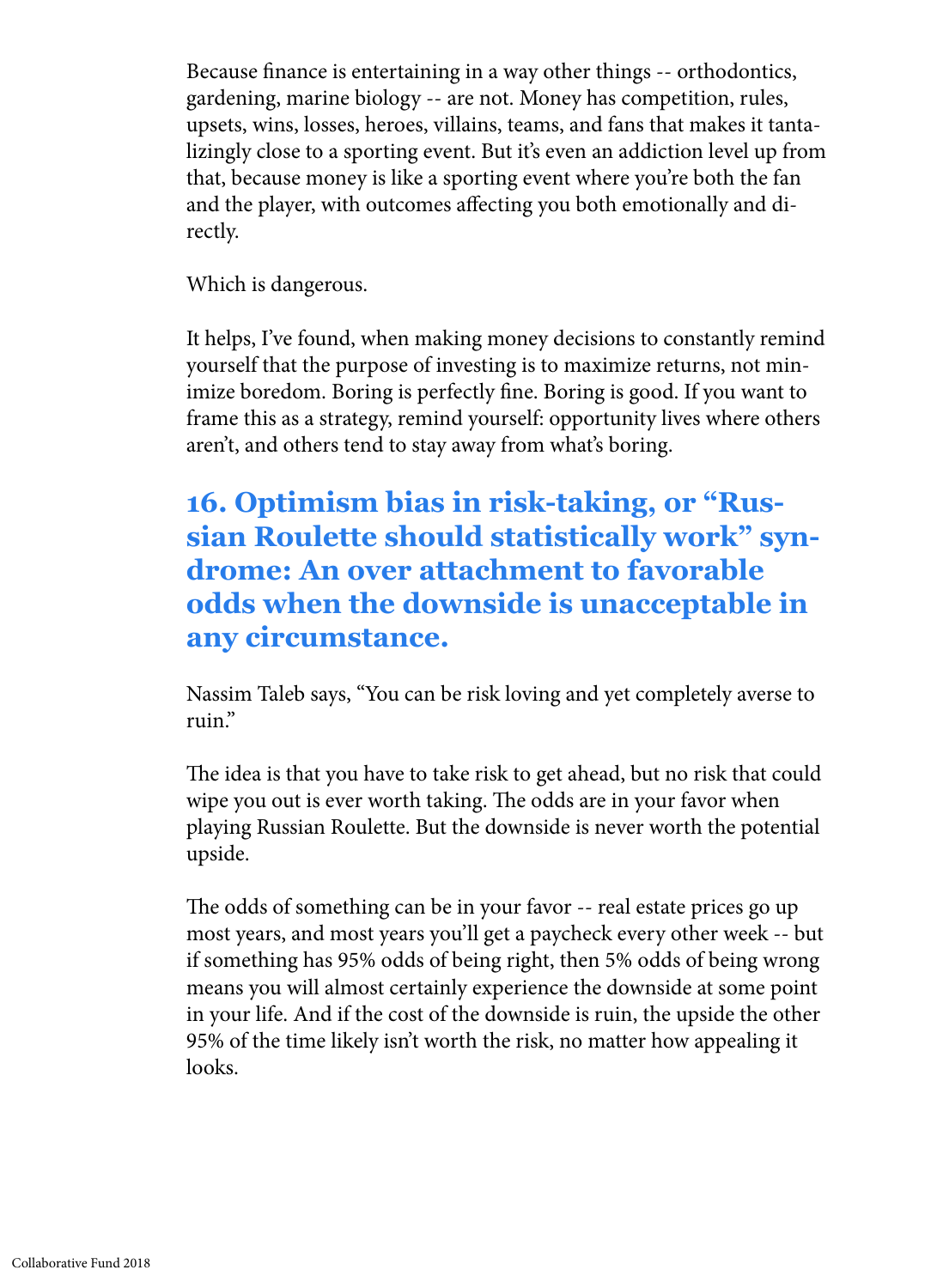Because finance is entertaining in a way other things -- orthodontics, gardening, marine biology -- are not. Money has competition, rules, upsets, wins, losses, heroes, villains, teams, and fans that makes it tantalizingly close to a sporting event. But it's even an addiction level up from that, because money is like a sporting event where you're both the fan and the player, with outcomes affecting you both emotionally and directly.

Which is dangerous.

It helps, I've found, when making money decisions to constantly remind yourself that the purpose of investing is to maximize returns, not minimize boredom. Boring is perfectly fine. Boring is good. If you want to frame this as a strategy, remind yourself: opportunity lives where others aren't, and others tend to stay away from what's boring.

### **16. Optimism bias in risk-taking, or "Russian Roulette should statistically work" syndrome: An over attachment to favorable odds when the downside is unacceptable in any circumstance.**

Nassim Taleb says, "You can be risk loving and yet completely averse to ruin."

The idea is that you have to take risk to get ahead, but no risk that could wipe you out is ever worth taking. The odds are in your favor when playing Russian Roulette. But the downside is never worth the potential upside.

The odds of something can be in your favor -- real estate prices go up most years, and most years you'll get a paycheck every other week -- but if something has 95% odds of being right, then 5% odds of being wrong means you will almost certainly experience the downside at some point in your life. And if the cost of the downside is ruin, the upside the other 95% of the time likely isn't worth the risk, no matter how appealing it looks.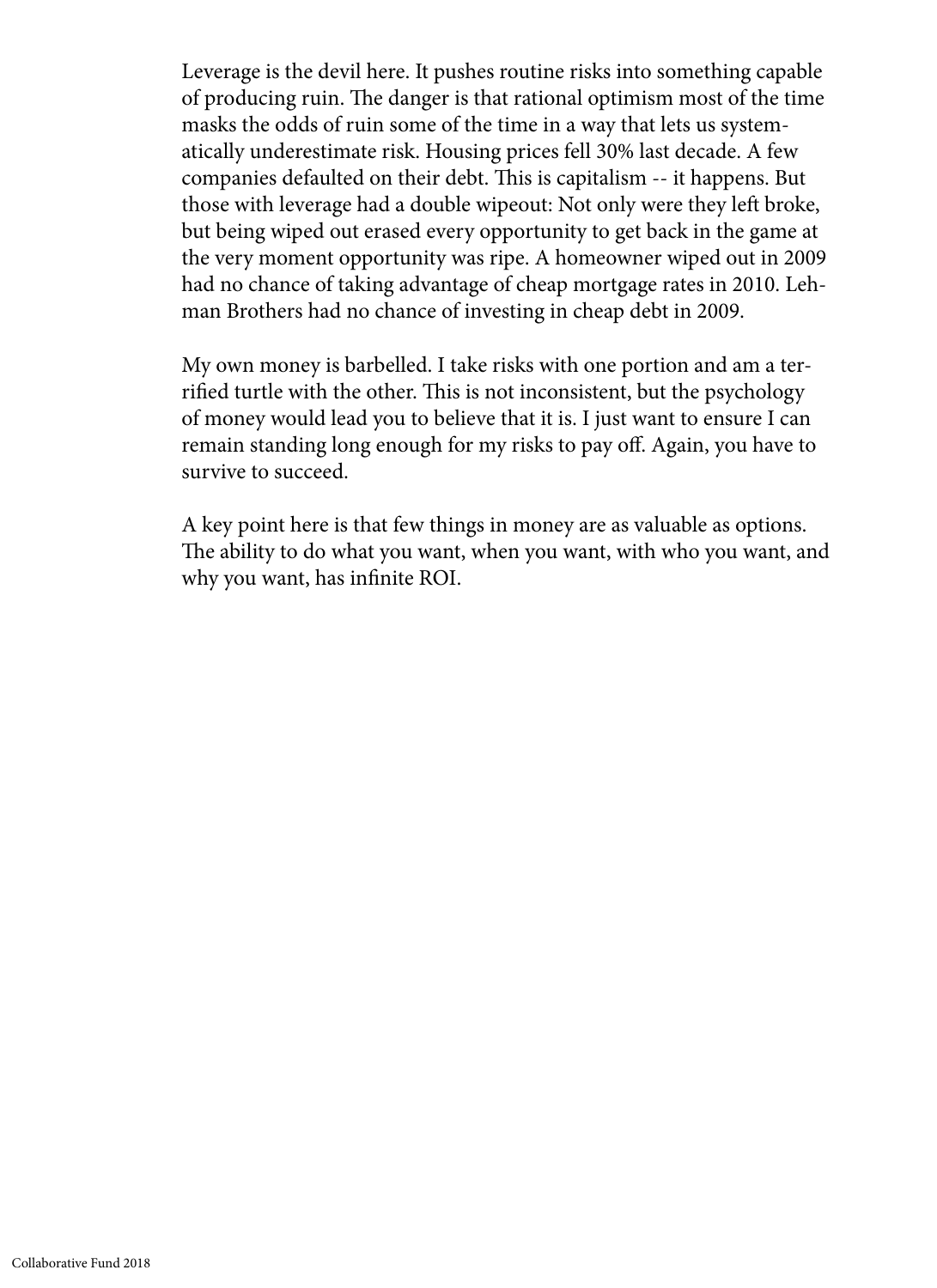Leverage is the devil here. It pushes routine risks into something capable of producing ruin. The danger is that rational optimism most of the time masks the odds of ruin some of the time in a way that lets us systematically underestimate risk. Housing prices fell 30% last decade. A few companies defaulted on their debt. This is capitalism -- it happens. But those with leverage had a double wipeout: Not only were they left broke, but being wiped out erased every opportunity to get back in the game at the very moment opportunity was ripe. A homeowner wiped out in 2009 had no chance of taking advantage of cheap mortgage rates in 2010. Lehman Brothers had no chance of investing in cheap debt in 2009.

My own money is barbelled. I take risks with one portion and am a terrified turtle with the other. This is not inconsistent, but the psychology of money would lead you to believe that it is. I just want to ensure I can remain standing long enough for my risks to pay off. Again, you have to survive to succeed.

A key point here is that few things in money are as valuable as options. The ability to do what you want, when you want, with who you want, and why you want, has infinite ROI.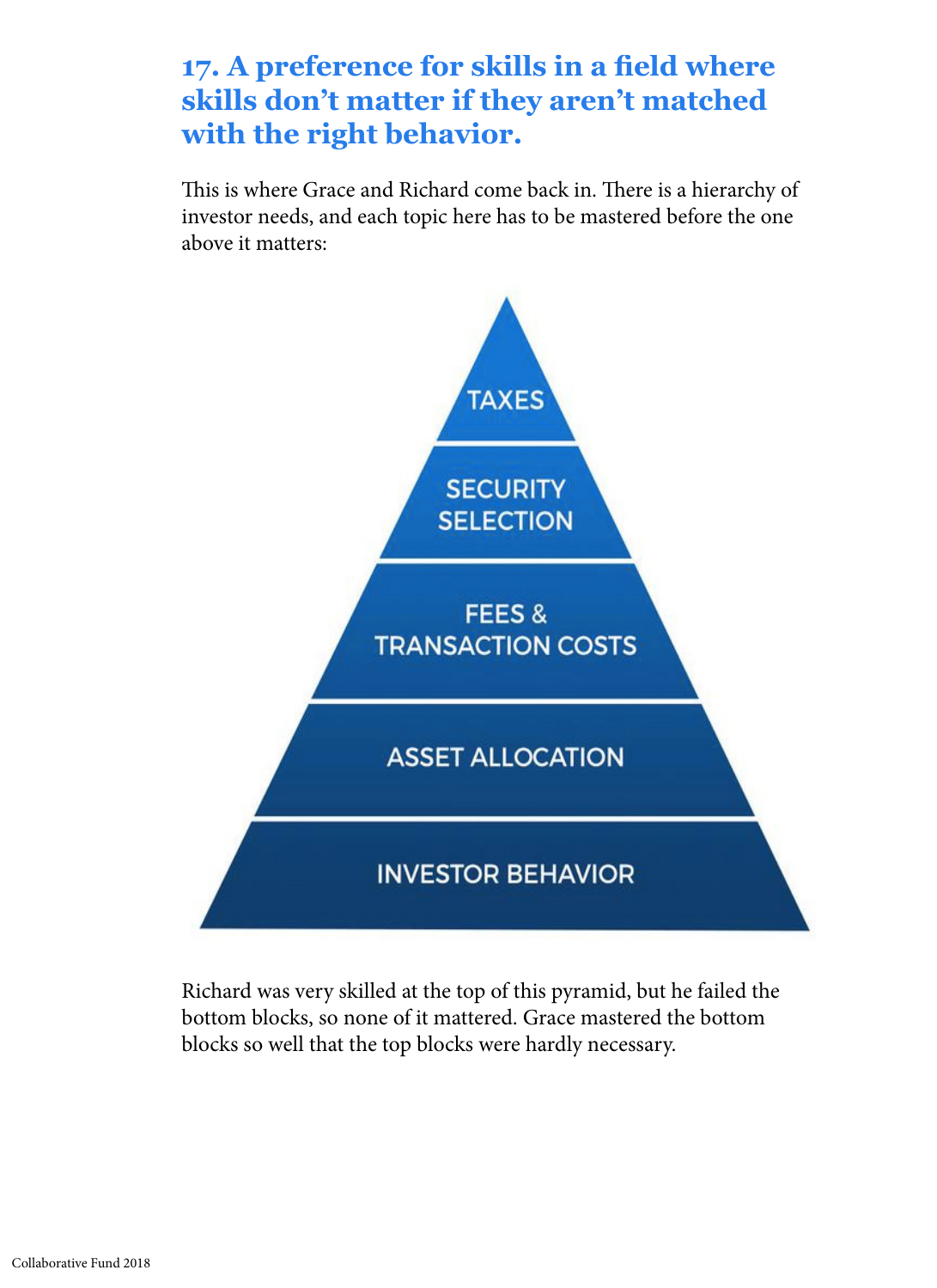#### **17. A preference for skills in a field where skills don't matter if they aren't matched with the right behavior.**

This is where Grace and Richard come back in. There is a hierarchy of investor needs, and each topic here has to be mastered before the one above it matters:



Richard was very skilled at the top of this pyramid, but he failed the bottom blocks, so none of it mattered. Grace mastered the bottom blocks so well that the top blocks were hardly necessary.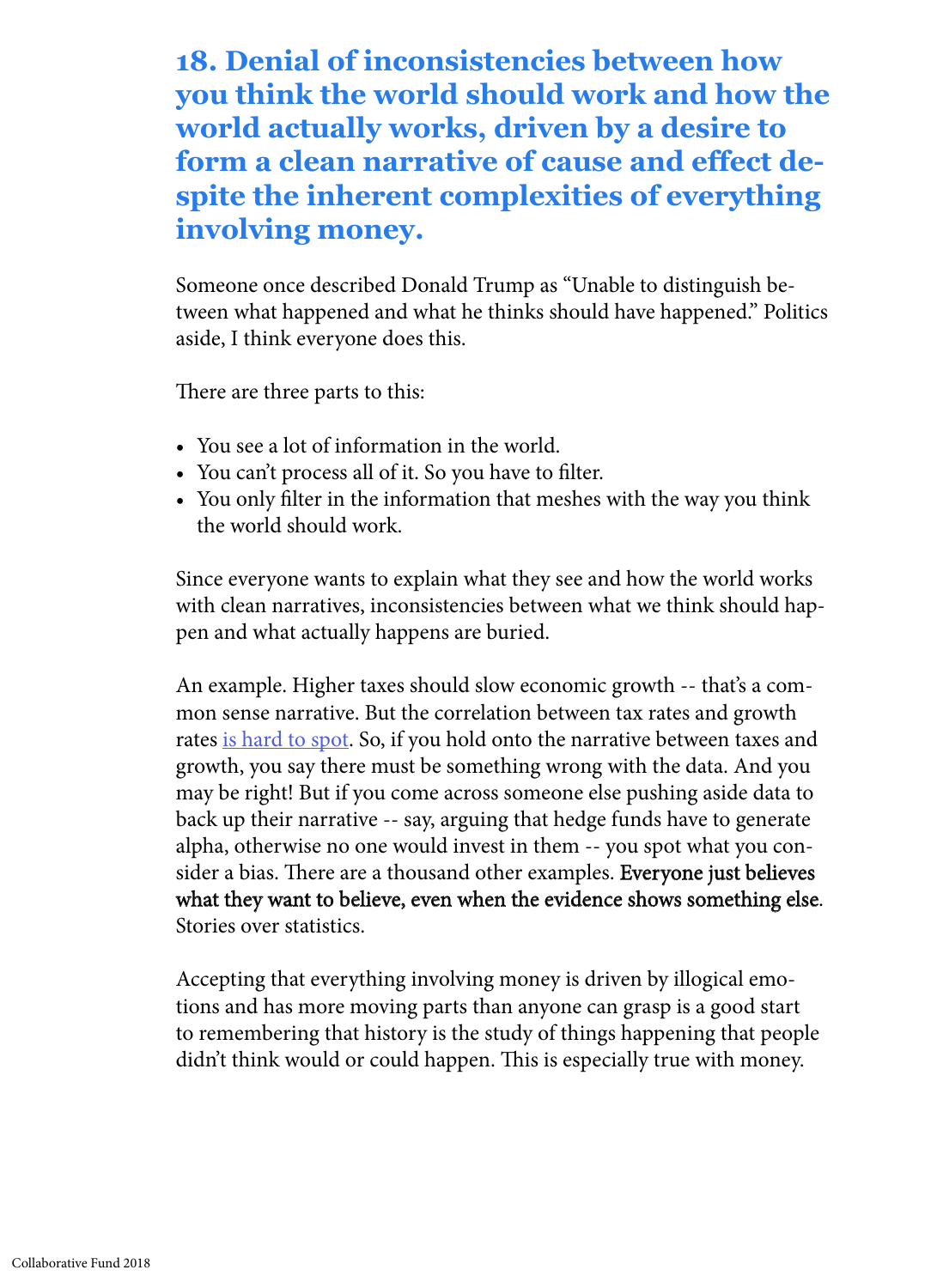#### **18. Denial of inconsistencies between how you think the world should work and how the world actually works, driven by a desire to form a clean narrative of cause and effect despite the inherent complexities of everything involving money.**

Someone once described Donald Trump as "Unable to distinguish between what happened and what he thinks should have happened." Politics aside, I think everyone does this.

There are three parts to this:

- You see a lot of information in the world.
- You can't process all of it. So you have to filter.
- You only filter in the information that meshes with the way you think the world should work.

Since everyone wants to explain what they see and how the world works with clean narratives, inconsistencies between what we think should happen and what actually happens are buried.

An example. Higher taxes should slow economic growth -- that's a common sense narrative. But the correlation between tax rates and growth rates [is hard to spot.](http://www.electoral-vote.com/evp2012/Images/gdp_vs_tax_rate.jpg) So, if you hold onto the narrative between taxes and growth, you say there must be something wrong with the data. And you may be right! But if you come across someone else pushing aside data to back up their narrative -- say, arguing that hedge funds have to generate alpha, otherwise no one would invest in them -- you spot what you consider a bias. There are a thousand other examples. Everyone just believes what they want to believe, even when the evidence shows something else. Stories over statistics.

Accepting that everything involving money is driven by illogical emotions and has more moving parts than anyone can grasp is a good start to remembering that history is the study of things happening that people didn't think would or could happen. This is especially true with money.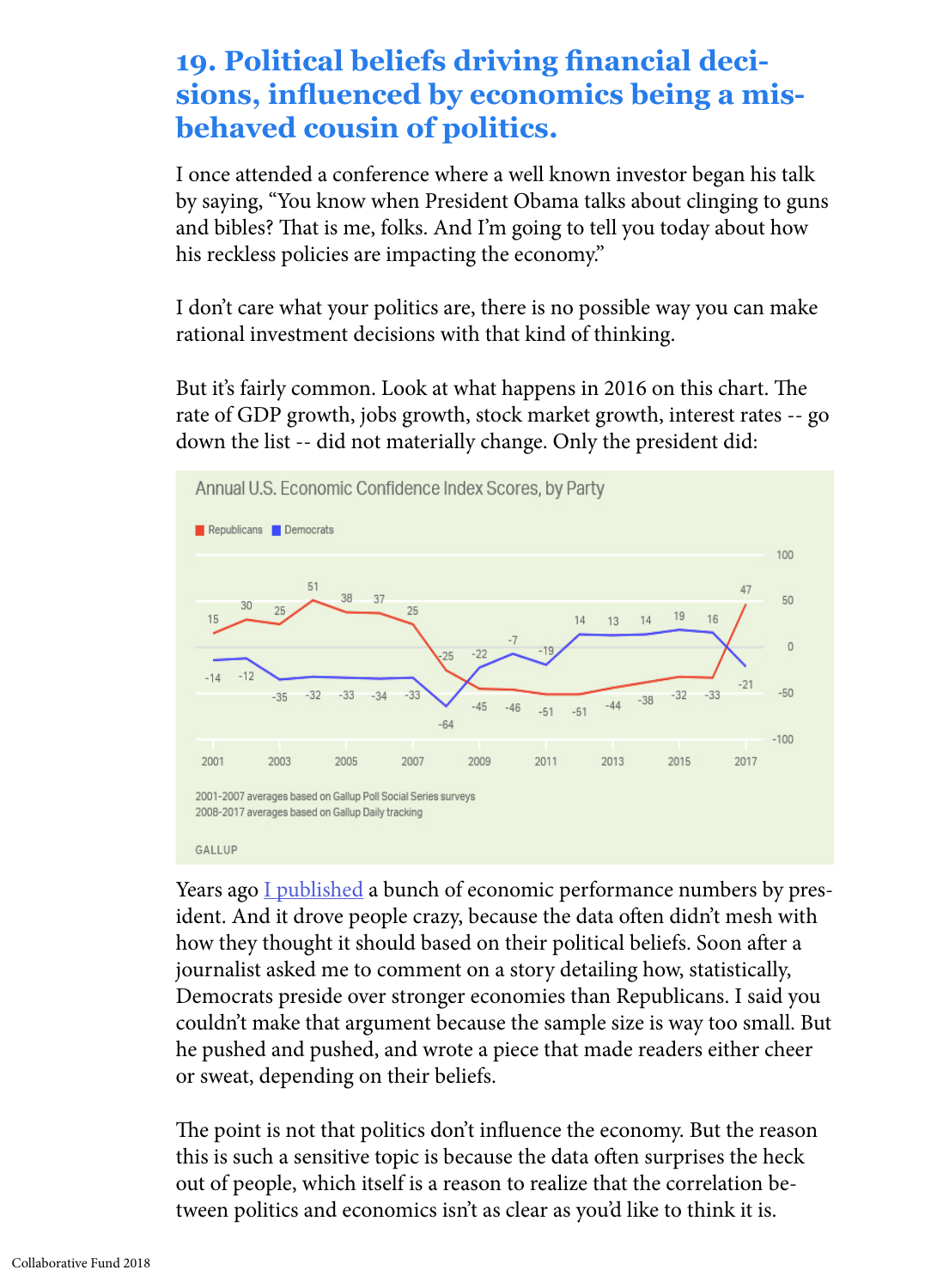#### **19. Political beliefs driving financial decisions, influenced by economics being a misbehaved cousin of politics.**

I once attended a conference where a well known investor began his talk by saying, "You know when President Obama talks about clinging to guns and bibles? That is me, folks. And I'm going to tell you today about how his reckless policies are impacting the economy."

I don't care what your politics are, there is no possible way you can make rational investment decisions with that kind of thinking.

But it's fairly common. Look at what happens in 2016 on this chart. The rate of GDP growth, jobs growth, stock market growth, interest rates -- go down the list -- did not materially change. Only the president did:



Years ago *I* published a bunch of economic performance numbers by president. And it drove people crazy, because the data often didn't mesh with how they thought it should based on their political beliefs. Soon after a journalist asked me to comment on a story detailing how, statistically, Democrats preside over stronger economies than Republicans. I said you couldn't make that argument because the sample size is way too small. But he pushed and pushed, and wrote a piece that made readers either cheer or sweat, depending on their beliefs.

The point is not that politics don't influence the economy. But the reason this is such a sensitive topic is because the data often surprises the heck out of people, which itself is a reason to realize that the correlation between politics and economics isn't as clear as you'd like to think it is.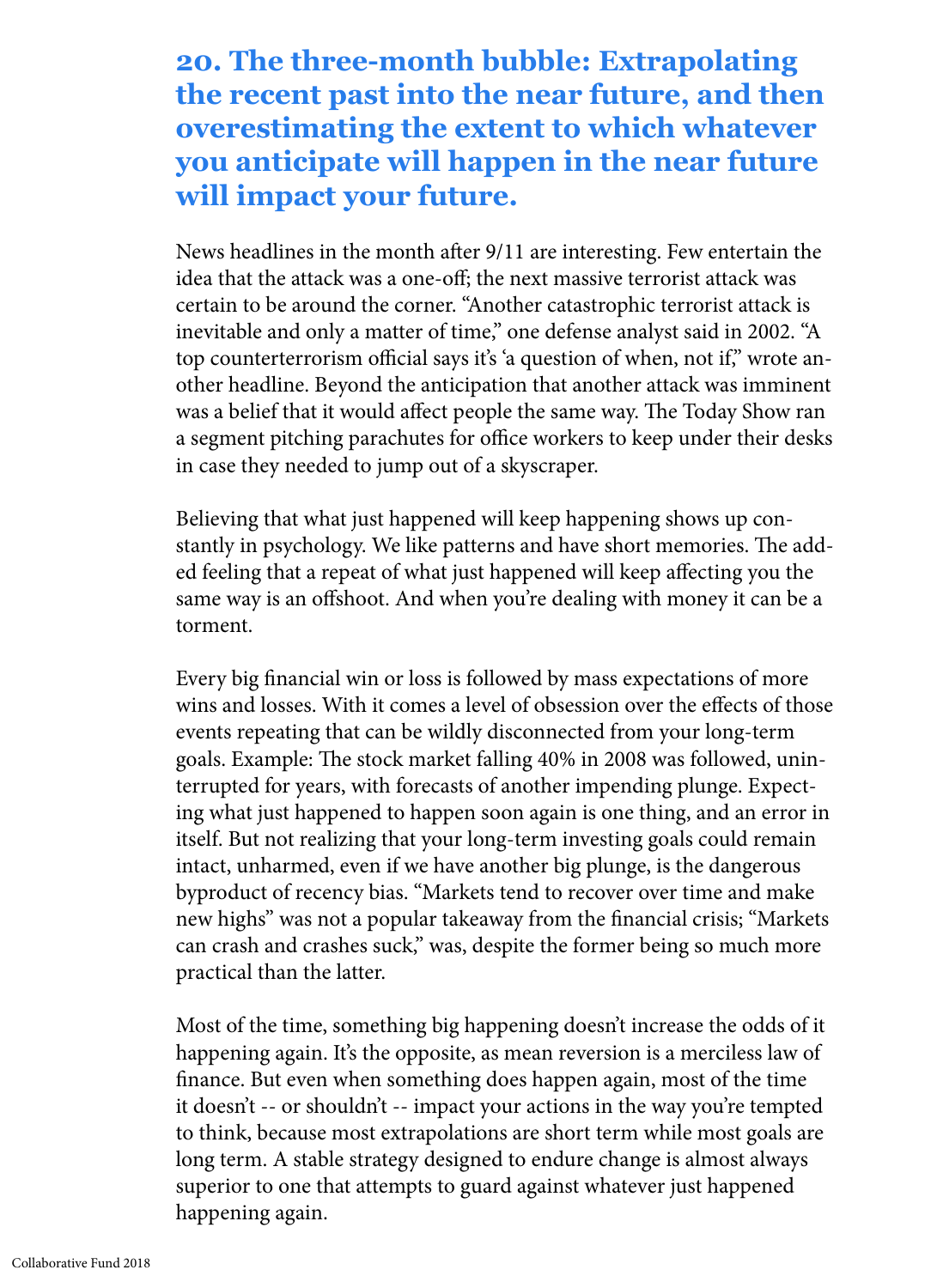#### **20. The three-month bubble: Extrapolating the recent past into the near future, and then overestimating the extent to which whatever you anticipate will happen in the near future will impact your future.**

News headlines in the month after 9/11 are interesting. Few entertain the idea that the attack was a one-off; the next massive terrorist attack was certain to be around the corner. "Another catastrophic terrorist attack is inevitable and only a matter of time," one defense analyst said in 2002. "A top counterterrorism official says it's 'a question of when, not if," wrote another headline. Beyond the anticipation that another attack was imminent was a belief that it would affect people the same way. The Today Show ran a segment pitching parachutes for office workers to keep under their desks in case they needed to jump out of a skyscraper.

Believing that what just happened will keep happening shows up constantly in psychology. We like patterns and have short memories. The added feeling that a repeat of what just happened will keep affecting you the same way is an offshoot. And when you're dealing with money it can be a torment.

Every big financial win or loss is followed by mass expectations of more wins and losses. With it comes a level of obsession over the effects of those events repeating that can be wildly disconnected from your long-term goals. Example: The stock market falling 40% in 2008 was followed, uninterrupted for years, with forecasts of another impending plunge. Expecting what just happened to happen soon again is one thing, and an error in itself. But not realizing that your long-term investing goals could remain intact, unharmed, even if we have another big plunge, is the dangerous byproduct of recency bias. "Markets tend to recover over time and make new highs" was not a popular takeaway from the financial crisis; "Markets can crash and crashes suck," was, despite the former being so much more practical than the latter.

Most of the time, something big happening doesn't increase the odds of it happening again. It's the opposite, as mean reversion is a merciless law of finance. But even when something does happen again, most of the time it doesn't -- or shouldn't -- impact your actions in the way you're tempted to think, because most extrapolations are short term while most goals are long term. A stable strategy designed to endure change is almost always superior to one that attempts to guard against whatever just happened happening again.